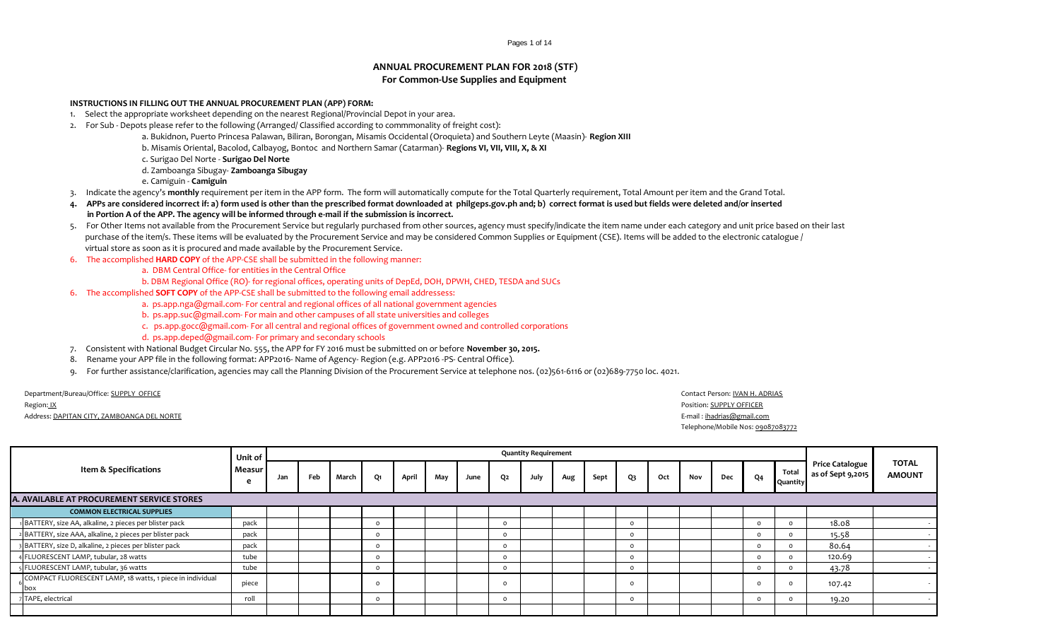## Pages 1 of 14

## **ANNUAL PROCUREMENT PLAN FOR 2018 (STF) For Common-Use Supplies and Equipment**

## **INSTRUCTIONS IN FILLING OUT THE ANNUAL PROCUREMENT PLAN (APP) FORM:**

- 1. Select the appropriate worksheet depending on the nearest Regional/Provincial Depot in your area.
- 2. For Sub Depots please refer to the following (Arranged/ Classified according to commmonality of freight cost):
	- a. Bukidnon, Puerto Princesa Palawan, Biliran, Borongan, Misamis Occidental (Oroquieta) and Southern Leyte (Maasin)- **Region XIII**
	- b. Misamis Oriental, Bacolod, Calbayog, Bontoc and Northern Samar (Catarman)- **Regions VI, VII, VIII, X, & XI**
	- c. Surigao Del Norte **Surigao Del Norte**

d. Zamboanga Sibugay- **Zamboanga Sibugay**

- e. Camiguin **Camiguin**
- 3. Indicate the agency's **monthly** requirement per item in the APP form. The form will automatically compute for the Total Quarterly requirement, Total Amount per item and the Grand Total.
- **4. APPs are considered incorrect if: a) form used is other than the prescribed format downloaded at philgeps.gov.ph and; b) correct format is used but fields were deleted and/or inserted in Portion A of the APP. The agency will be informed through e-mail if the submission is incorrect.**
- 5. For Other Items not available from the Procurement Service but regularly purchased from other sources, agency must specify/indicate the item name under each category and unit price based on their last purchase of the item/s. These items will be evaluated by the Procurement Service and may be considered Common Supplies or Equipment (CSE). Items will be added to the electronic catalogue / virtual store as soon as it is procured and made available by the Procurement Service.
- 6. The accomplished **HARD COPY** of the APP-CSE shall be submitted in the following manner:
	- a. DBM Central Office- for entities in the Central Office
	- b. DBM Regional Office (RO)- for regional offices, operating units of DepEd, DOH, DPWH, CHED, TESDA and SUCs
- 6. The accomplished **SOFT COPY** of the APP-CSE shall be submitted to the following email addressess:
	- a. ps.app.nga@gmail.com- For central and regional offices of all national government agencies
	- b. ps.app.suc@gmail.com- For main and other campuses of all state universities and colleges
	- c. ps.app.gocc@gmail.com- For all central and regional offices of government owned and controlled corporations
	- d. ps.app.deped@gmail.com- For primary and secondary schools
- 7. Consistent with National Budget Circular No. 555, the APP for FY 2016 must be submitted on or before **November 30, 2015.**
- 8. Rename your APP file in the following format: APP2016- Name of Agency- Region (e.g. APP2016 -PS- Central Office).
- 9. For further assistance/clarification, agencies may call the Planning Division of the Procurement Service at telephone nos. (02)561-6116 or (02)689-7750 loc. 4021.

Department/Bureau/Office: SUPPLY OFFICE Contact Person: IVAN H. ADRIAS

| egion: <u>IX</u> |  |
|------------------|--|
|                  |  |

Address: DAPITAN CITY, ZAMBOANGA DEL NORTE COMPUTER COMPUTER E-mail : ihadrias@gmail.com

Region: <u>IX</u> Position: <u>SUPPLY OFFICER</u> Telephone/Mobile Nos: 09087083772

|                                                                  | Unit of     |     |     |       |           |       |     |      |    | <b>Quantity Requirement</b> |     |      |          |     |     |     |                |                   |                                      |                               |
|------------------------------------------------------------------|-------------|-----|-----|-------|-----------|-------|-----|------|----|-----------------------------|-----|------|----------|-----|-----|-----|----------------|-------------------|--------------------------------------|-------------------------------|
| Item & Specifications                                            | Measur<br>e | Jan | Feb | March | <b>O1</b> | April | May | June | Q2 | July                        | Aug | Sept | Q3       | Oct | Nov | Dec | Q <sub>4</sub> | Total<br>Quantity | Price Catalogue<br>as of Sept 9,2015 | <b>TOTAL</b><br><b>AMOUNT</b> |
| A. AVAILABLE AT PROCUREMENT SERVICE STORES                       |             |     |     |       |           |       |     |      |    |                             |     |      |          |     |     |     |                |                   |                                      |                               |
| <b>COMMON ELECTRICAL SUPPLIES</b>                                |             |     |     |       |           |       |     |      |    |                             |     |      |          |     |     |     |                |                   |                                      |                               |
| 1 BATTERY, size AA, alkaline, 2 pieces per blister pack          | pack        |     |     |       | n         |       |     |      |    |                             |     |      |          |     |     |     |                |                   | 18.08                                |                               |
| 2 BATTERY, size AAA, alkaline, 2 pieces per blister pack         | pack        |     |     |       | $\Omega$  |       |     |      |    |                             |     |      | $\Omega$ |     |     |     | $\Omega$       |                   | 15.58                                |                               |
| 3 BATTERY, size D, alkaline, 2 pieces per blister pack           | pack        |     |     |       | $\Omega$  |       |     |      |    |                             |     |      | $\Omega$ |     |     |     | $\Omega$       |                   | 80.64                                |                               |
| 4 FLUORESCENT LAMP, tubular, 28 watts                            | tube        |     |     |       | $\Omega$  |       |     |      |    |                             |     |      | $\Omega$ |     |     |     | $\Omega$       |                   | 120.69                               |                               |
| 5 FLUORESCENT LAMP, tubular, 36 watts                            | tube        |     |     |       | $\Omega$  |       |     |      |    |                             |     |      | $\Omega$ |     |     |     | $\Omega$       |                   | 43.78                                |                               |
| COMPACT FLUORESCENT LAMP, 18 watts, 1 piece in individual<br>box | piece       |     |     |       | O         |       |     |      |    |                             |     |      |          |     |     |     | $\Omega$       |                   | 107.42                               |                               |
| 7 TAPE, electrical                                               | roll        |     |     |       | $\Omega$  |       |     |      |    |                             |     |      | $\Omega$ |     |     |     | $\Omega$       |                   | 19.20                                |                               |
|                                                                  |             |     |     |       |           |       |     |      |    |                             |     |      |          |     |     |     |                |                   |                                      |                               |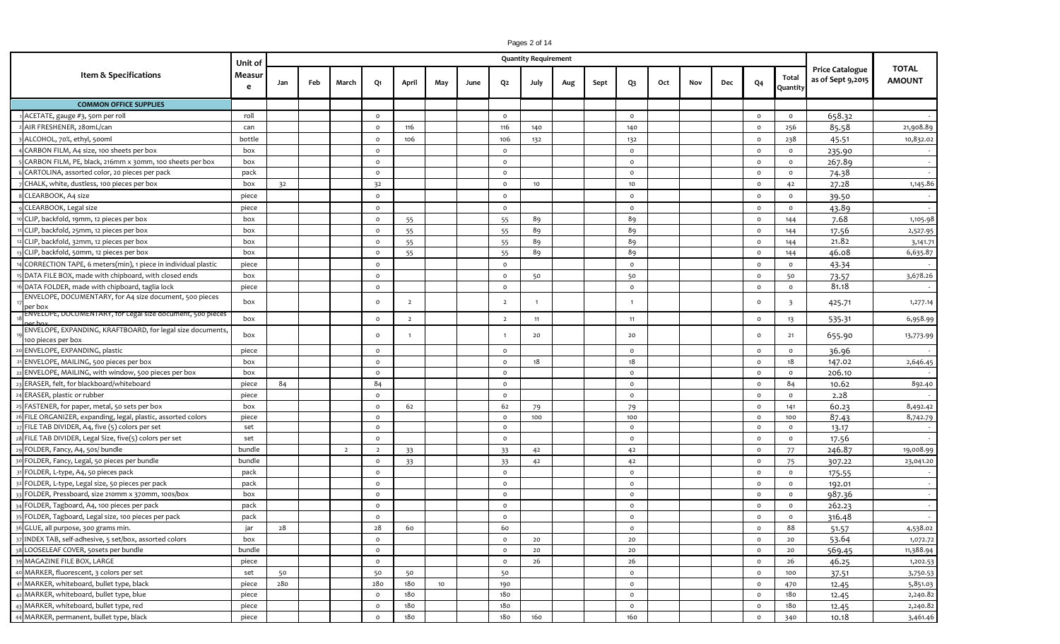|                                                                                  | Pages 2 of 14<br><b>Quantity Requirement</b> |     |     |                |                |                |     |      |                |                |     |      |                |     |     |     |                |                         |                                             |                               |
|----------------------------------------------------------------------------------|----------------------------------------------|-----|-----|----------------|----------------|----------------|-----|------|----------------|----------------|-----|------|----------------|-----|-----|-----|----------------|-------------------------|---------------------------------------------|-------------------------------|
|                                                                                  | Unit of                                      |     |     |                |                |                |     |      |                |                |     |      |                |     |     |     |                |                         |                                             |                               |
| Item & Specifications                                                            | Measur                                       | Jan | Feb | March          | Q1             | April          | May | June | Q2             | July           |     | Sept | Q3             | Oct | Nov | Dec | Q <sub>4</sub> | Total                   | <b>Price Catalogue</b><br>as of Sept 9,2015 | <b>TOTAL</b><br><b>AMOUNT</b> |
|                                                                                  | e                                            |     |     |                |                |                |     |      |                |                | Aug |      |                |     |     |     |                | Quantity                |                                             |                               |
| <b>COMMON OFFICE SUPPLIES</b>                                                    |                                              |     |     |                |                |                |     |      |                |                |     |      |                |     |     |     |                |                         |                                             |                               |
| ACETATE, gauge #3, 50m per roll                                                  | roll                                         |     |     |                | $\circ$        |                |     |      | $\circ$        |                |     |      | $\circ$        |     |     |     | $\circ$        | $\circ$                 | 658.32                                      |                               |
| AIR FRESHENER, 28omL/can                                                         | can                                          |     |     |                | $\circ$        | 116            |     |      | 116            | 140            |     |      | 140            |     |     |     | $\circ$        | 256                     | 85.58                                       | 21,908.89                     |
| ALCOHOL, 70%, ethyl, 500ml                                                       | bottle                                       |     |     |                | $\circ$        | 106            |     |      | 106            | 132            |     |      | 132            |     |     |     | $\circ$        | 238                     | 45.51                                       | 10,832.02                     |
| CARBON FILM, A4 size, 100 sheets per box                                         | box                                          |     |     |                | $\circ$        |                |     |      | $\circ$        |                |     |      | $\circ$        |     |     |     | $\circ$        | $\circ$                 | 235.90                                      | $\sim$                        |
| CARBON FILM, PE, black, 216mm x 30mm, 100 sheets per box                         | box                                          |     |     |                | $\circ$        |                |     |      | $\circ$        |                |     |      | $\circ$        |     |     |     | $\circ$        | $\circ$                 | 267.89                                      | $\sim$                        |
| CARTOLINA, assorted color, 20 pieces per pack                                    | pack                                         |     |     |                | $\circ$        |                |     |      | $\circ$        |                |     |      | $\circ$        |     |     |     | $\circ$        | $\circ$                 | 74.38                                       | $\sim$                        |
| CHALK, white, dustless, 100 pieces per box                                       | box                                          | 32  |     |                | 32             |                |     |      | $\circ$        | 10             |     |      | 10             |     |     |     | $\circ$        | 42                      | 27.28                                       | 1,145.86                      |
| CLEARBOOK, A4 size                                                               | piece                                        |     |     |                | $\circ$        |                |     |      | $\circ$        |                |     |      | $\circ$        |     |     |     | $\circ$        | $\circ$                 | 39.50                                       |                               |
| CLEARBOOK, Legal size                                                            | piece                                        |     |     |                | $\circ$        |                |     |      | $\circ$        |                |     |      | $\circ$        |     |     |     | $\circ$        | $\circ$                 | 43.89                                       | $\sim$                        |
| CLIP, backfold, 19mm, 12 pieces per box                                          | box                                          |     |     |                | $\circ$        | 55             |     |      | 55             | 89             |     |      | 89             |     |     |     | $\circ$        | 144                     | 7.68                                        | 1,105.98                      |
| CLIP, backfold, 25mm, 12 pieces per box                                          | box                                          |     |     |                | $\circ$        | 55             |     |      | 55             | 89             |     |      | 89             |     |     |     | $\circ$        | 144                     | 17.56                                       | 2,527.95                      |
| CLIP, backfold, 32mm, 12 pieces per box                                          | box                                          |     |     |                | $\circ$        | 55             |     |      | 55             | 89             |     |      | 89             |     |     |     | $\circ$        | 144                     | 21.82                                       | 3,141.71                      |
| CLIP, backfold, 50mm, 12 pieces per box                                          | box                                          |     |     |                | $\circ$        | 55             |     |      | 55             | 89             |     |      | 89             |     |     |     | $\circ$        | 144                     | 46.08                                       | 6,635.87                      |
| CORRECTION TAPE, 6 meters(min), 1 piece in individual plastic                    | piece                                        |     |     |                | $\circ$        |                |     |      | $\circ$        |                |     |      | $\circ$        |     |     |     | $\mathsf{o}$   | $\circ$                 | 43.34                                       |                               |
| DATA FILE BOX, made with chipboard, with closed ends                             | box                                          |     |     |                | $\circ$        |                |     |      | $\circ$        | 50             |     |      | 50             |     |     |     | $\circ$        | 50                      | 73.57                                       | 3,678.26                      |
| DATA FOLDER, made with chipboard, taglia lock                                    | piece                                        |     |     |                | $\circ$        |                |     |      | $\circ$        |                |     |      | $\circ$        |     |     |     | $\circ$        | $\circ$                 | 81.18                                       | $\sim$                        |
| ENVELOPE, DOCUMENTARY, for A4 size document, 500 pieces<br>per box               | box                                          |     |     |                | $\circ$        | $\overline{2}$ |     |      | $\overline{2}$ | $\overline{1}$ |     |      | -1             |     |     |     | $\circ$        | $\overline{\mathbf{3}}$ | 425.71                                      | 1,277.14                      |
| ENVELOPE, DOCUMENTARY, for Legal size document, 500 pieces                       | box                                          |     |     |                | $\circ$        | $\overline{2}$ |     |      | $\overline{2}$ | 11             |     |      | 11             |     |     |     | $\circ$        | 13                      | 535.31                                      | 6,958.99                      |
| ENVELOPE, EXPANDING, KRAFTBOARD, for legal size documents,<br>100 pieces per box | box                                          |     |     |                | $\circ$        | $\mathbf{1}$   |     |      |                | 20             |     |      | 20             |     |     |     | $\circ$        | 21                      | 655.90                                      | 13,773.99                     |
| ENVELOPE, EXPANDING, plastic                                                     | piece                                        |     |     |                | $\circ$        |                |     |      | $\circ$        |                |     |      | $\circ$        |     |     |     | $\circ$        | $\circ$                 | 36.96                                       |                               |
| ENVELOPE, MAILING, 500 pieces per box                                            | box                                          |     |     |                | $\circ$        |                |     |      | $\Omega$       | 18             |     |      | 18             |     |     |     | $\circ$        | 18                      | 147.02                                      | 2,646.45                      |
| ENVELOPE, MAILING, with window, 500 pieces per box                               | box                                          |     |     |                | $\circ$        |                |     |      | $\circ$        |                |     |      | $\circ$        |     |     |     | $\circ$        | $\circ$                 | 206.10                                      |                               |
| ERASER, felt, for blackboard/whiteboard                                          | piece                                        | 84  |     |                | 84             |                |     |      | $\circ$        |                |     |      | $\circ$        |     |     |     | $\circ$        | 84                      | 10.62                                       | 892.40                        |
| ERASER, plastic or rubber                                                        | piece                                        |     |     |                | $\circ$        |                |     |      | $\circ$        |                |     |      | $\circ$        |     |     |     | $\circ$        | $\circ$                 | 2.28                                        |                               |
| FASTENER, for paper, metal, 50 sets per box                                      | box                                          |     |     |                | $\circ$        | 62             |     |      | 62             | 79             |     |      | 79             |     |     |     | $\circ$        | 141                     | 60.23                                       | 8,492.42                      |
| 6 FILE ORGANIZER, expanding, legal, plastic, assorted colors                     | piece                                        |     |     |                | $\circ$        |                |     |      | $\circ$        | 100            |     |      | 100            |     |     |     | $\circ$        | 100                     | 87.43                                       | 8,742.79                      |
| FILE TAB DIVIDER, A4, five (5) colors per set                                    | set                                          |     |     |                | $\circ$        |                |     |      | $\circ$        |                |     |      | $\circ$        |     |     |     | $\circ$        | $\circ$                 | 13.17                                       |                               |
| 8 FILE TAB DIVIDER, Legal Size, five(5) colors per set                           | set                                          |     |     |                | $\circ$        |                |     |      | $\circ$        |                |     |      | $\circ$        |     |     |     | $\circ$        | $\circ$                 | 17.56                                       |                               |
| FOLDER, Fancy, A4, 50s/ bundle                                                   | bundle                                       |     |     | $\overline{2}$ | $\overline{2}$ | 33             |     |      | 33             | 42             |     |      | 42             |     |     |     | $\circ$        | 77                      | 246.87                                      | 19,008.99                     |
| FOLDER, Fancy, Legal, 50 pieces per bundle                                       | bundle                                       |     |     |                | $\circ$        | 33             |     |      | 33             | 42             |     |      | 42             |     |     |     | $\circ$        | 75                      | 307.22                                      | 23,041.20                     |
| FOLDER, L-type, A4, 50 pieces pack                                               | pack                                         |     |     |                | $\circ$        |                |     |      | $\circ$        |                |     |      | $\circ$        |     |     |     | $\circ$        | $\circ$                 | 175.55                                      |                               |
| FOLDER, L-type, Legal size, 50 pieces per pack                                   | pack                                         |     |     |                | $\circ$        |                |     |      | $\circ$        |                |     |      | $\circ$        |     |     |     | $\circ$        | $\circ$                 | 192.01                                      |                               |
| FOLDER, Pressboard, size 210mm x 370mm, 100s/box                                 | box                                          |     |     |                | $\circ$        |                |     |      | $\circ$        |                |     |      | $\circ$        |     |     |     | $\mathsf{o}$   | $\circ$                 | 987.36                                      | $\sim$                        |
| 34 FOLDER, Tagboard, A4, 100 pieces per pack                                     | pack                                         |     |     |                | $\circ$        |                |     |      | $\circ$        |                |     |      | $\circ$        |     |     |     | $\circ$        | $\circ$                 | 262.23                                      |                               |
| 35 FOLDER, Tagboard, Legal size, 100 pieces per pack                             | pack                                         |     |     |                | $\circ$        |                |     |      | $\circ$        |                |     |      | $\circ$        |     |     |     | $\circ$        | $\circ$                 | 316.48                                      | $\sim 10^{-1}$                |
| 36 GLUE, all purpose, 300 grams min.                                             | jar                                          | 28  |     |                | 28             | 60             |     |      | 60             |                |     |      | $\mathsf{o}\,$ |     |     |     | $\mathsf{o}$   | 88                      | 51.57                                       | 4,538.02                      |
| INDEX TAB, self-adhesive, 5 set/box, assorted colors                             | box                                          |     |     |                | $\circ$        |                |     |      | $\circ$        | 20             |     |      | $20$           |     |     |     | $\circ$        | 20                      | 53.64                                       | 1,072.72                      |
| LOOSELEAF COVER, 50sets per bundle                                               | bundle                                       |     |     |                | $\circ$        |                |     |      | $\circ$        | 20             |     |      | 20             |     |     |     | $\circ$        | 20                      | 569.45                                      | 11,388.94                     |
| 9 MAGAZINE FILE BOX, LARGE                                                       | piece                                        |     |     |                | $\circ$        |                |     |      | $\circ$        | 26             |     |      | 26             |     |     |     | $\circ$        | 26                      | 46.25                                       | 1,202.53                      |
| o MARKER, fluorescent, 3 colors per set                                          | set                                          | 50  |     |                | 50             | 50             |     |      | 50             |                |     |      | $\circ$        |     |     |     | $\circ$        | 100                     | 37.51                                       | 3,750.53                      |
| 1 MARKER, whiteboard, bullet type, black                                         | piece                                        | 280 |     |                | 280            | 180            | 10  |      | 190            |                |     |      | $\mathsf{o}\,$ |     |     |     | $\circ$        | 470                     | 12.45                                       | 5,851.03                      |
| MARKER, whiteboard, bullet type, blue                                            | piece                                        |     |     |                | $\circ$        | 180            |     |      | 180            |                |     |      | $\circ$        |     |     |     | $\circ$        | 180                     | 12.45                                       | 2,240.82                      |
| MARKER, whiteboard, bullet type, red                                             | piece                                        |     |     |                | $\circ$        | 180            |     |      | 180            |                |     |      | $\circ$        |     |     |     | $\circ$        | 180                     | 12.45                                       | 2,240.82                      |
| MARKER, permanent, bullet type, black                                            | piece                                        |     |     |                | $\mathbf{o}$   | 180            |     |      | 180            | 160            |     |      | 160            |     |     |     | $\mathsf{o}$   | 340                     | 10.18                                       | 3,461.46                      |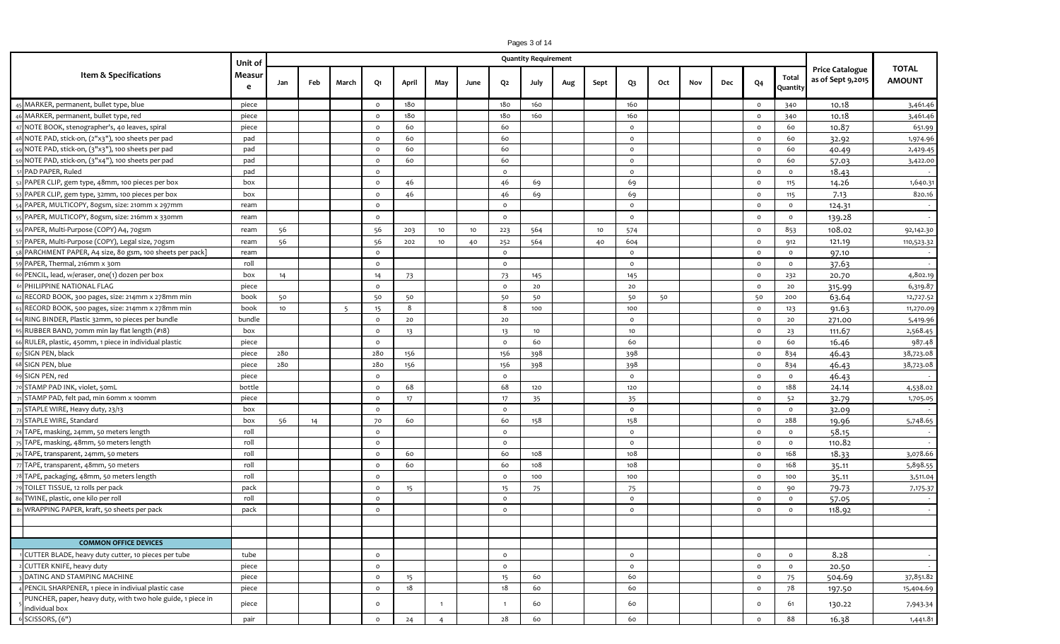|                                                                               | Pages 3 of 14 |     |     |       |          |       |                |      |                |                             |     |      |                |     |     |     |                |                |                                             |                               |
|-------------------------------------------------------------------------------|---------------|-----|-----|-------|----------|-------|----------------|------|----------------|-----------------------------|-----|------|----------------|-----|-----|-----|----------------|----------------|---------------------------------------------|-------------------------------|
|                                                                               | Unit of       |     |     |       |          |       |                |      |                | <b>Quantity Requirement</b> |     |      |                |     |     |     |                |                |                                             |                               |
| Item & Specifications                                                         | Measur        |     |     |       |          |       |                |      |                |                             |     |      |                |     |     |     |                | Total          | <b>Price Catalogue</b><br>as of Sept 9,2015 | <b>TOTAL</b><br><b>AMOUNT</b> |
|                                                                               | e             | Jan | Feb | March | Q1       | April | May            | June | Q2             | July                        | Aug | Sept | Q <sub>3</sub> | Oct | Nov | Dec | Q <sub>4</sub> | Quantity       |                                             |                               |
| 45 MARKER, permanent, bullet type, blue                                       | piece         |     |     |       | $\circ$  | 180   |                |      | 180            | 160                         |     |      | 160            |     |     |     | $\circ$        | 340            | 10.18                                       | 3,461.46                      |
| 46 MARKER, permanent, bullet type, red                                        | piece         |     |     |       | $\circ$  | 180   |                |      | 180            | 160                         |     |      | 160            |     |     |     | $\circ$        | 340            | 10.18                                       | 3,461.46                      |
| 47 NOTE BOOK, stenographer's, 40 leaves, spiral                               | piece         |     |     |       | $\circ$  | 60    |                |      | 60             |                             |     |      | $\circ$        |     |     |     | $\circ$        | 60             | 10.87                                       | 651.99                        |
| 48 NOTE PAD, stick-on, (2"x3"), 100 sheets per pad                            | pad           |     |     |       | $\circ$  | 60    |                |      | 60             |                             |     |      | $\circ$        |     |     |     | $\circ$        | 60             | 32.92                                       | 1,974.96                      |
| 49 NOTE PAD, stick-on, (3"x3"), 100 sheets per pad                            | pad           |     |     |       | $\circ$  | 60    |                |      | 60             |                             |     |      | $\circ$        |     |     |     | $\circ$        | 60             | 40.49                                       | 2,429.45                      |
| 50 NOTE PAD, stick-on, (3"x4"), 100 sheets per pad                            | pad           |     |     |       | $\circ$  | 60    |                |      | 60             |                             |     |      | $\circ$        |     |     |     | $\circ$        | 60             | 57.03                                       | 3,422.00                      |
| PAD PAPER, Ruled                                                              | pad           |     |     |       | $\Omega$ |       |                |      | $\circ$        |                             |     |      | $\circ$        |     |     |     | $\circ$        | $\circ$        | 18.43                                       |                               |
| 52 PAPER CLIP, gem type, 48mm, 100 pieces per box                             | box           |     |     |       | $\circ$  | 46    |                |      | 46             | 69                          |     |      | 69             |     |     |     | $\circ$        | 115            | 14.26                                       | 1,640.31                      |
| 53 PAPER CLIP, gem type, 32mm, 100 pieces per box                             | box           |     |     |       | $\circ$  | 46    |                |      | 46             | 69                          |     |      | 69             |     |     |     | $\circ$        | 115            | 7.13                                        | 820.16                        |
| 54 PAPER, MULTICOPY, 80gsm, size: 210mm x 297mm                               | ream          |     |     |       | $\circ$  |       |                |      | $\circ$        |                             |     |      | $\circ$        |     |     |     | $\circ$        | $\circ$        | 124.31                                      |                               |
| 55 PAPER, MULTICOPY, 80gsm, size: 216mm x 330mm                               | ream          |     |     |       | $\circ$  |       |                |      | $\mathsf{o}$   |                             |     |      | $\circ$        |     |     |     | $\circ$        | $\mathsf{o}\,$ | 139.28                                      |                               |
| 56 PAPER, Multi-Purpose (COPY) A4, 70gsm                                      | ream          | 56  |     |       | 56       | 203   | 10             | 10   | 223            | 564                         |     | 10   | 574            |     |     |     | $\circ$        | 853            | 108.02                                      | 92,142.30                     |
| 57 PAPER, Multi-Purpose (COPY), Legal size, 70gsm                             | ream          | 56  |     |       | 56       | 202   | 10             | 40   | 252            | 564                         |     | 40   | 604            |     |     |     | $\circ$        | 912            | 121.19                                      | 110,523.32                    |
| PARCHMENT PAPER, A4 size, 80 gsm, 100 sheets per pack]                        | ream          |     |     |       | $\circ$  |       |                |      | $\circ$        |                             |     |      | $\circ$        |     |     |     | $\circ$        | $\circ$        | 97.10                                       |                               |
| 59 PAPER, Thermal, 216mm x 30m                                                | roll          |     |     |       | $\circ$  |       |                |      | $\circ$        |                             |     |      | $\circ$        |     |     |     | $\circ$        | $\circ$        | 37.63                                       | $\sim$                        |
| 60 PENCIL, lead, w/eraser, one(1) dozen per box                               | box           | 14  |     |       | 14       | 73    |                |      | 73             | 145                         |     |      | 145            |     |     |     | $\circ$        | 232            | 20.70                                       | 4,802.19                      |
| 61 PHILIPPINE NATIONAL FLAG                                                   | piece         |     |     |       | $\circ$  |       |                |      | $\mathsf{o}$   | 20                          |     |      | 20             |     |     |     | $\circ$        | 20             | 315.99                                      | 6,319.87                      |
| 62 RECORD BOOK, 300 pages, size: 214mm x 278mm min                            | book          | 50  |     |       | 50       | 50    |                |      | 50             | 50                          |     |      | 50             | 50  |     |     | 50             | 200            | 63.64                                       | 12,727.52                     |
| 63 RECORD BOOK, 500 pages, size: 214mm x 278mm min                            | book          | 10  |     | -5    | 15       | - 8   |                |      | 8              | 100                         |     |      | 100            |     |     |     | $\circ$        | 123            | 91.63                                       | 11,270.09                     |
| 64 RING BINDER, Plastic 32mm, 10 pieces per bundle                            | bundle        |     |     |       | $\circ$  | 20    |                |      | 20             |                             |     |      | $\circ$        |     |     |     | $\circ$        | 20             | 271.00                                      | 5,419.96                      |
| 65 RUBBER BAND, 70mm min lay flat length (#18)                                | box           |     |     |       | $\circ$  | 13    |                |      | 13             | 10                          |     |      | 10             |     |     |     | $\circ$        | 23             | 111.67                                      | 2,568.45                      |
| 66 RULER, plastic, 450mm, 1 piece in individual plastic                       | piece         |     |     |       | $\circ$  |       |                |      | $\circ$        | 60                          |     |      | 60             |     |     |     | $\circ$        | 60             | 16.46                                       | 987.48                        |
| SIGN PEN, black                                                               | piece         | 280 |     |       | 280      | 156   |                |      | 156            | 398                         |     |      | 398            |     |     |     | $\circ$        | 834            | 46.43                                       | 38,723.08                     |
| 68 SIGN PEN, blue                                                             | piece         | 280 |     |       | 280      | 156   |                |      | 156            | 398                         |     |      | 398            |     |     |     | $\circ$        | 834            | 46.43                                       | 38,723.08                     |
| 69 SIGN PEN, red                                                              | piece         |     |     |       | $\Omega$ |       |                |      | $\circ$        |                             |     |      | $\circ$        |     |     |     | $\circ$        | $\circ$        | 46.43                                       |                               |
| 70 STAMP PAD INK, violet, 50mL                                                | bottle        |     |     |       | $\circ$  | 68    |                |      | 68             | 120                         |     |      | 120            |     |     |     | $\circ$        | 188            | 24.14                                       | 4,538.02                      |
| STAMP PAD, felt pad, min 60mm x 100mm                                         | piece         |     |     |       | $\circ$  | 17    |                |      | 17             | 35                          |     |      | 35             |     |     |     | $\circ$        | 52             | 32.79                                       | 1,705.05                      |
| 72 STAPLE WIRE, Heavy duty, 23/13                                             | box           |     |     |       | $\circ$  |       |                |      | $\circ$        |                             |     |      | $\circ$        |     |     |     | $\circ$        | $\circ$        | 32.09                                       |                               |
| 73 STAPLE WIRE, Standard                                                      | box           | 56  | 14  |       | 70       | 60    |                |      | 60             | 158                         |     |      | 158            |     |     |     | $\circ$        | 288            | 19.96                                       | 5,748.65                      |
| 74 TAPE, masking, 24mm, 50 meters length                                      | roll          |     |     |       | $\circ$  |       |                |      | $\mathsf{o}$   |                             |     |      | $\circ$        |     |     |     | $\circ$        | $\circ$        | 58.15                                       |                               |
| 75 TAPE, masking, 48mm, 50 meters length                                      | roll          |     |     |       | $\circ$  |       |                |      | $\circ$        |                             |     |      | $\circ$        |     |     |     | $\circ$        | $\circ$        | 110.82                                      |                               |
| 76 TAPE, transparent, 24mm, 50 meters                                         | roll          |     |     |       | $\circ$  | 60    |                |      | 60             | 108                         |     |      | 108            |     |     |     | $\circ$        | 168            | 18.33                                       | 3,078.66                      |
| 77 TAPE, transparent, 48mm, 50 meters                                         | roll          |     |     |       | $\circ$  | 60    |                |      | 60             | 108                         |     |      | 108            |     |     |     | $\circ$        | 168            | 35.11                                       | 5,898.55                      |
| 78 TAPE, packaging, 48mm, 50 meters length                                    | roll          |     |     |       | $\circ$  |       |                |      | $\circ$        | 100                         |     |      | 100            |     |     |     | $\circ$        | 100            | 35.11                                       | 3,511.04                      |
| TOILET TISSUE, 12 rolls per pack                                              | pack          |     |     |       | $\circ$  | 15    |                |      | 15             | 75                          |     |      | 75             |     |     |     | $\circ$        | 90             | 79.73                                       | 7,175.37                      |
| TWINE, plastic, one kilo per roll                                             | roll          |     |     |       | $\circ$  |       |                |      | $\circ$        |                             |     |      | $\circ$        |     |     |     | $\circ$        | $\circ$        | 57.05                                       |                               |
| 81 WRAPPING PAPER, kraft, 50 sheets per pack                                  | pack          |     |     |       | $\circ$  |       |                |      | $\circ$        |                             |     |      | $\circ$        |     |     |     | $\circ$        | $\circ$        | 118.92                                      |                               |
|                                                                               |               |     |     |       |          |       |                |      |                |                             |     |      |                |     |     |     |                |                |                                             |                               |
|                                                                               |               |     |     |       |          |       |                |      |                |                             |     |      |                |     |     |     |                |                |                                             |                               |
| <b>COMMON OFFICE DEVICES</b>                                                  |               |     |     |       |          |       |                |      |                |                             |     |      |                |     |     |     |                |                |                                             |                               |
| 1 CUTTER BLADE, heavy duty cutter, 10 pieces per tube                         | tube          |     |     |       | $\circ$  |       |                |      | $\mathsf{o}$   |                             |     |      | $\circ$        |     |     |     | $\circ$        | $\circ$        | 8.28                                        | $\sim$                        |
| CUTTER KNIFE, heavy duty                                                      | piece         |     |     |       | $\circ$  |       |                |      | $\circ$        |                             |     |      | $\circ$        |     |     |     | $\circ$        | $\circ$        | 20.50                                       | $\sim$                        |
| 3 DATING AND STAMPING MACHINE                                                 | piece         |     |     |       | $\circ$  | 15    |                |      | 15             | 60                          |     |      | 60             |     |     |     | $\circ$        | 75             | 504.69                                      | 37,851.82                     |
| 4 PENCIL SHARPENER, 1 piece in indiviual plastic case                         | piece         |     |     |       | $\circ$  | 18    |                |      | 18             | 60                          |     |      | 60             |     |     |     | $\circ$        | 78             | 197.50                                      | 15,404.69                     |
| PUNCHER, paper, heavy duty, with two hole guide, 1 piece in<br>individual box | piece         |     |     |       | $\circ$  |       | $\overline{1}$ |      | $\overline{1}$ | 60                          |     |      | 60             |     |     |     | $\circ$        | 61             | 130.22                                      | 7,943.34                      |
| SCISSORS, (6")                                                                | pair          |     |     |       | $\circ$  | 24    | $\overline{4}$ |      | 28             | 60                          |     |      | 60             |     |     |     | $\circ$        | 88             | 16.38                                       | 1,441.81                      |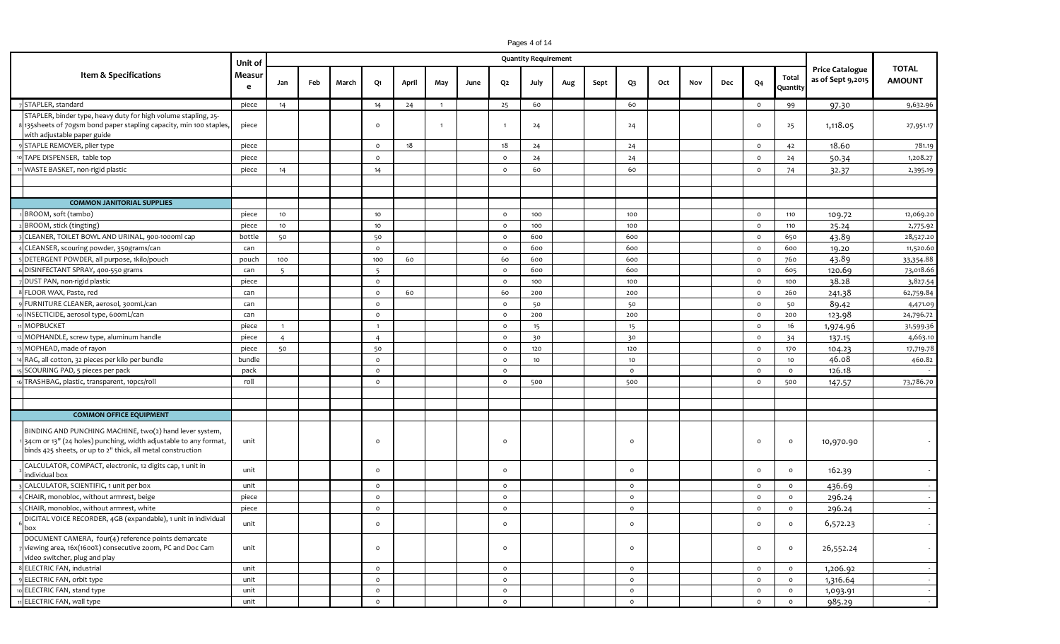| Pages 4 of 14 |  |  |  |
|---------------|--|--|--|
|---------------|--|--|--|

|                                                                                                                                                                                            | Unit of     |                |     |       |                |       |                |      |                | <b>Quantity Requirement</b> |     |      |         |     |     |     |                |                   |                                             |                               |
|--------------------------------------------------------------------------------------------------------------------------------------------------------------------------------------------|-------------|----------------|-----|-------|----------------|-------|----------------|------|----------------|-----------------------------|-----|------|---------|-----|-----|-----|----------------|-------------------|---------------------------------------------|-------------------------------|
| Item & Specifications                                                                                                                                                                      | Measur<br>e | Jan            | Feb | March | Q1             | April | May            | June | Q <sub>2</sub> | July                        | Aug | Sept | Q3      | Oct | Nov | Dec | Q <sub>4</sub> | Total<br>Quantity | <b>Price Catalogue</b><br>as of Sept 9,2015 | <b>TOTAL</b><br><b>AMOUNT</b> |
| STAPLER, standard                                                                                                                                                                          | piece       | 14             |     |       | 14             | 24    | $\overline{1}$ |      | 25             | 60                          |     |      | 60      |     |     |     | $\circ$        | 99                | 97.30                                       | 9,632.96                      |
| STAPLER, binder type, heavy duty for high volume stapling, 25-<br>135 sheets of 70gsm bond paper stapling capacity, min 100 staples,<br>with adjustable paper guide                        | piece       |                |     |       | $\Omega$       |       |                |      |                | 24                          |     |      | 24      |     |     |     | $\circ$        | 25                | 1,118.05                                    | 27,951.17                     |
| STAPLE REMOVER, plier type                                                                                                                                                                 | piece       |                |     |       | $\circ$        | 18    |                |      | 18             | 24                          |     |      | 24      |     |     |     | $\circ$        | 42                | 18.60                                       | 781.19                        |
| TAPE DISPENSER, table top                                                                                                                                                                  | piece       |                |     |       | $\circ$        |       |                |      | $\circ$        | 24                          |     |      | 24      |     |     |     | $\circ$        | 24                | 50.34                                       | 1,208.27                      |
| WASTE BASKET, non-rigid plastic                                                                                                                                                            | piece       | 14             |     |       | 14             |       |                |      | $\circ$        | 60                          |     |      | 60      |     |     |     | $\circ$        | 74                | 32.37                                       | 2,395.19                      |
|                                                                                                                                                                                            |             |                |     |       |                |       |                |      |                |                             |     |      |         |     |     |     |                |                   |                                             |                               |
|                                                                                                                                                                                            |             |                |     |       |                |       |                |      |                |                             |     |      |         |     |     |     |                |                   |                                             |                               |
| <b>COMMON JANITORIAL SUPPLIES</b>                                                                                                                                                          |             |                |     |       |                |       |                |      |                |                             |     |      |         |     |     |     |                |                   |                                             |                               |
| BROOM, soft (tambo)                                                                                                                                                                        | piece       | 10             |     |       | 10             |       |                |      | $\circ$        | 100                         |     |      | 100     |     |     |     | $\circ$        | 110               | 109.72                                      | 12,069.20                     |
| BROOM, stick (tingting)                                                                                                                                                                    | piece       | 10             |     |       | 10             |       |                |      | $\circ$        | 100                         |     |      | 100     |     |     |     | $\circ$        | 110               | 25.24                                       | 2,775.92                      |
| CLEANER, TOILET BOWL AND URINAL, 900-1000ml cap                                                                                                                                            | bottle      | 50             |     |       | 50             |       |                |      | $\Omega$       | 600                         |     |      | 600     |     |     |     | $\circ$        | 650               | 43.89                                       | 28,527.20                     |
| CLEANSER, scouring powder, 350grams/can                                                                                                                                                    | can         |                |     |       | $\circ$        |       |                |      | $\circ$        | 600                         |     |      | 600     |     |     |     | $\circ$        | 600               | 19.20                                       | 11,520.60                     |
| DETERGENT POWDER, all purpose, 1kilo/pouch                                                                                                                                                 | pouch       | 100            |     |       | 100            | 60    |                |      | 60             | 600                         |     |      | 600     |     |     |     | $\circ$        | 760               | 43.89                                       | 33,354.88                     |
| DISINFECTANT SPRAY, 400-550 grams                                                                                                                                                          | can         | 5              |     |       | 5              |       |                |      | $\circ$        | 600                         |     |      | 600     |     |     |     | $\circ$        | 605               | 120.69                                      | 73,018.66                     |
| DUST PAN, non-rigid plastic                                                                                                                                                                | piece       |                |     |       | $\circ$        |       |                |      | $\Omega$       | 100                         |     |      | 100     |     |     |     | $\circ$        | 100               | 38.28                                       | 3,827.54                      |
| FLOOR WAX, Paste, red                                                                                                                                                                      | can         |                |     |       | $\circ$        | 60    |                |      | 60             | 200                         |     |      | 200     |     |     |     | $\circ$        | 260               | 241.38                                      | 62,759.84                     |
| FURNITURE CLEANER, aerosol, 300mL/can                                                                                                                                                      | can         |                |     |       | $\circ$        |       |                |      | $\Omega$       | 50                          |     |      | 50      |     |     |     | $\circ$        | 50                | 89.42                                       | 4,471.09                      |
| INSECTICIDE, aerosol type, 600mL/can                                                                                                                                                       | can         |                |     |       | $\circ$        |       |                |      | $\circ$        | 200                         |     |      | 200     |     |     |     | $\circ$        | 200               | 123.98                                      | 24,796.72                     |
| <b>MOPBUCKET</b>                                                                                                                                                                           | piece       | $\overline{1}$ |     |       | $\overline{1}$ |       |                |      | $\circ$        | 15                          |     |      | 15      |     |     |     | $\circ$        | 16                | 1,974.96                                    | 31,599.36                     |
| MOPHANDLE, screw type, aluminum handle                                                                                                                                                     | piece       | $\overline{4}$ |     |       | $\overline{4}$ |       |                |      | $\circ$        | 30                          |     |      | 30      |     |     |     | $\circ$        | 34                | 137.15                                      | 4,663.10                      |
| MOPHEAD, made of rayon                                                                                                                                                                     | piece       | 50             |     |       | 50             |       |                |      | $\circ$        | 120                         |     |      | 120     |     |     |     | $\circ$        | 170               | 104.23                                      | 17,719.78                     |
| RAG, all cotton, 32 pieces per kilo per bundle                                                                                                                                             | bundle      |                |     |       | $\circ$        |       |                |      | $\circ$        | 10                          |     |      | 10      |     |     |     | $\circ$        | 10                | 46.08                                       | 460.82                        |
| SCOURING PAD, 5 pieces per pack                                                                                                                                                            | pack        |                |     |       | $\circ$        |       |                |      | $\circ$        |                             |     |      | $\circ$ |     |     |     | $\circ$        | $\circ$           | 126.18                                      |                               |
| TRASHBAG, plastic, transparent, 10pcs/roll                                                                                                                                                 | roll        |                |     |       | $\circ$        |       |                |      | $\circ$        | 500                         |     |      | 500     |     |     |     | $\circ$        | 500               | 147.57                                      | 73,786.70                     |
|                                                                                                                                                                                            |             |                |     |       |                |       |                |      |                |                             |     |      |         |     |     |     |                |                   |                                             |                               |
|                                                                                                                                                                                            |             |                |     |       |                |       |                |      |                |                             |     |      |         |     |     |     |                |                   |                                             |                               |
| <b>COMMON OFFICE EQUIPMENT</b>                                                                                                                                                             |             |                |     |       |                |       |                |      |                |                             |     |      |         |     |     |     |                |                   |                                             |                               |
| BINDING AND PUNCHING MACHINE, two(2) hand lever system,<br>34cm or 13" (24 holes) punching, width adjustable to any format,<br>binds 425 sheets, or up to 2" thick, all metal construction | unit        |                |     |       | $\circ$        |       |                |      | $\circ$        |                             |     |      | $\circ$ |     |     |     | $\circ$        | $\circ$           | 10,970.90                                   |                               |
| CALCULATOR, COMPACT, electronic, 12 digits cap, 1 unit in<br>individual box                                                                                                                | unit        |                |     |       | $\circ$        |       |                |      | $\circ$        |                             |     |      | $\circ$ |     |     |     | $\mathsf{o}\,$ | $\circ$           | 162.39                                      |                               |
| CALCULATOR, SCIENTIFIC, 1 unit per box                                                                                                                                                     | unit        |                |     |       | $\circ$        |       |                |      | $\circ$        |                             |     |      | $\circ$ |     |     |     | $\circ$        | $\circ$           | 436.69                                      |                               |
| CHAIR, monobloc, without armrest, beige                                                                                                                                                    | piece       |                |     |       | $\circ$        |       |                |      | $\circ$        |                             |     |      | $\circ$ |     |     |     | $\circ$        | $\circ$           | 296.24                                      |                               |
| CHAIR, monobloc, without armrest, white                                                                                                                                                    | piece       |                |     |       | $\circ$        |       |                |      | $\circ$        |                             |     |      | $\circ$ |     |     |     | $\circ$        | $\circ$           | 296.24                                      |                               |
| DIGITAL VOICE RECORDER, 4GB (expandable), 1 unit in individual<br>box                                                                                                                      | unit        |                |     |       |                |       |                |      |                |                             |     |      |         |     |     |     | $\circ$        |                   | 6,572.23                                    |                               |
| DOCUMENT CAMERA, four(4) reference points demarcate<br>viewing area, 16x(1600%) consecutive zoom, PC and Doc Cam<br>video switcher, plug and play                                          | unit        |                |     |       | $\circ$        |       |                |      | $\circ$        |                             |     |      | $\circ$ |     |     |     | $\circ$        | $\circ$           | 26,552.24                                   | $\sim$                        |
| ELECTRIC FAN, industrial                                                                                                                                                                   | unit        |                |     |       | $\circ$        |       |                |      | $\circ$        |                             |     |      | $\circ$ |     |     |     | $\circ$        | $\circ$           | 1,206.92                                    |                               |
| ELECTRIC FAN, orbit type                                                                                                                                                                   | unit        |                |     |       | $\circ$        |       |                |      | $\circ$        |                             |     |      | $\circ$ |     |     |     | $\circ$        | $\circ$           | 1,316.64                                    |                               |
| ELECTRIC FAN, stand type                                                                                                                                                                   | unit        |                |     |       | $\circ$        |       |                |      | $\circ$        |                             |     |      | $\circ$ |     |     |     | $\circ$        | $\circ$           | 1,093.91                                    |                               |
| ELECTRIC FAN, wall type                                                                                                                                                                    | unit        |                |     |       | $\circ$        |       |                |      | $\circ$        |                             |     |      | $\circ$ |     |     |     | $\circ$        | $\circ$           | 985.29                                      | $\sim$                        |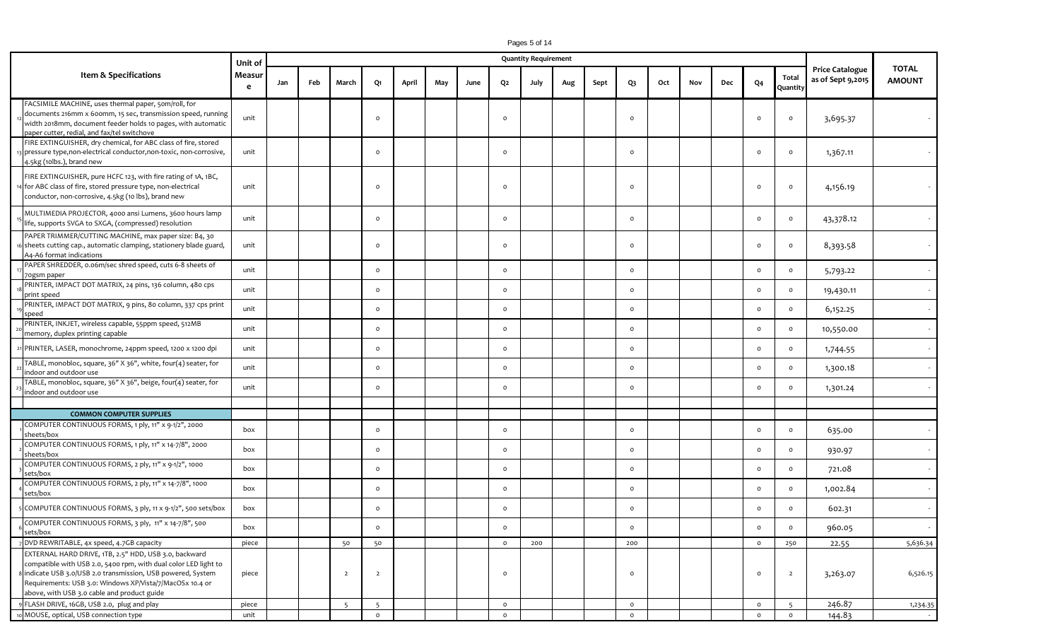|                                                                                                                                                                                                                                                                                                     | Unit of     |     |     |                |                |       |     |      |          | <b>Quantity Requirement</b> |     |      |                |     |     |     |                |                   |                                             |                               |
|-----------------------------------------------------------------------------------------------------------------------------------------------------------------------------------------------------------------------------------------------------------------------------------------------------|-------------|-----|-----|----------------|----------------|-------|-----|------|----------|-----------------------------|-----|------|----------------|-----|-----|-----|----------------|-------------------|---------------------------------------------|-------------------------------|
| Item & Specifications                                                                                                                                                                                                                                                                               | Measur<br>e | Jan | Feb | March          | Q1             | April | May | June | Q2       | July                        | Aug | Sept | Q <sub>3</sub> | Oct | Nov | Dec | Q <sub>4</sub> | Total<br>Quantity | <b>Price Catalogue</b><br>as of Sept 9,2015 | <b>TOTAL</b><br><b>AMOUNT</b> |
| FACSIMILE MACHINE, uses thermal paper, 50m/roll, for<br>documents 216mm x 600mm, 15 sec, transmission speed, running<br>width 2018mm, document feeder holds 10 pages, with automatic<br>paper cutter, redial, and fax/tel switchove                                                                 | unit        |     |     |                | $\circ$        |       |     |      | $\Omega$ |                             |     |      | $\circ$        |     |     |     | $\circ$        | $\circ$           | 3,695.37                                    |                               |
| FIRE EXTINGUISHER, dry chemical, for ABC class of fire, stored<br>3 pressure type, non-electrical conductor, non-toxic, non-corrosive,<br>4.5kg (10lbs.), brand new                                                                                                                                 | unit        |     |     |                | $\circ$        |       |     |      | $\circ$  |                             |     |      | $\circ$        |     |     |     | $\circ$        | $\circ$           | 1,367.11                                    |                               |
| FIRE EXTINGUISHER, pure HCFC 123, with fire rating of 1A, 1BC,<br>4 for ABC class of fire, stored pressure type, non-electrical<br>conductor, non-corrosive, 4.5kg (10 lbs), brand new                                                                                                              | unit        |     |     |                | $\circ$        |       |     |      | $\Omega$ |                             |     |      | $\circ$        |     |     |     | $\circ$        | $\circ$           | 4,156.19                                    |                               |
| MULTIMEDIA PROJECTOR, 4000 ansi Lumens, 3600 hours lamp<br>life, supports SVGA to SXGA, (compressed) resolution                                                                                                                                                                                     | unit        |     |     |                | $\circ$        |       |     |      | $\circ$  |                             |     |      | $\circ$        |     |     |     | $\circ$        | $\circ$           | 43,378.12                                   |                               |
| PAPER TRIMMER/CUTTING MACHINE, max paper size: B4, 30<br>16 sheets cutting cap., automatic clamping, stationery blade guard,<br>A4-A6 format indications                                                                                                                                            | unit        |     |     |                | $\circ$        |       |     |      | $\circ$  |                             |     |      | $\circ$        |     |     |     | $\circ$        | $\circ$           | 8,393.58                                    |                               |
| PAPER SHREDDER, 0.06m/sec shred speed, cuts 6-8 sheets of<br>70gsm paper                                                                                                                                                                                                                            | unit        |     |     |                | $\circ$        |       |     |      | $\circ$  |                             |     |      | $\circ$        |     |     |     | $\circ$        | $\circ$           | 5,793.22                                    |                               |
| PRINTER, IMPACT DOT MATRIX, 24 pins, 136 column, 480 cps<br>print speed                                                                                                                                                                                                                             | unit        |     |     |                | $\circ$        |       |     |      | $\circ$  |                             |     |      | $\circ$        |     |     |     | $\circ$        | $\circ$           | 19,430.11                                   |                               |
| PRINTER, IMPACT DOT MATRIX, 9 pins, 80 column, 337 cps print<br>speed                                                                                                                                                                                                                               | unit        |     |     |                | $\circ$        |       |     |      | $\circ$  |                             |     |      | $\circ$        |     |     |     | $\circ$        | $\circ$           | 6,152.25                                    |                               |
| PRINTER, INKJET, wireless capable, 55ppm speed, 512MB<br>memory, duplex printing capable                                                                                                                                                                                                            | unit        |     |     |                | $\circ$        |       |     |      | $\circ$  |                             |     |      | $\circ$        |     |     |     | $\mathsf{o}$   | $\circ$           | 10,550.00                                   |                               |
| 21 PRINTER, LASER, monochrome, 24ppm speed, 1200 x 1200 dpi                                                                                                                                                                                                                                         | unit        |     |     |                | $\circ$        |       |     |      | $\circ$  |                             |     |      | $\circ$        |     |     |     | $\mathsf{o}$   | $\circ$           | 1,744.55                                    |                               |
| TABLE, monobloc, square, 36" X 36", white, four(4) seater, for<br>indoor and outdoor use                                                                                                                                                                                                            | unit        |     |     |                | $\circ$        |       |     |      | $\circ$  |                             |     |      | $\circ$        |     |     |     | $\mathsf{o}$   | $\circ$           | 1,300.18                                    |                               |
| TABLE, monobloc, square, 36" X 36", beige, four(4) seater, for<br>indoor and outdoor use                                                                                                                                                                                                            | unit        |     |     |                | $\circ$        |       |     |      | $\circ$  |                             |     |      | $\circ$        |     |     |     | $\circ$        | $\circ$           | 1,301.24                                    |                               |
|                                                                                                                                                                                                                                                                                                     |             |     |     |                |                |       |     |      |          |                             |     |      |                |     |     |     |                |                   |                                             |                               |
| <b>COMMON COMPUTER SUPPLIES</b>                                                                                                                                                                                                                                                                     |             |     |     |                |                |       |     |      |          |                             |     |      |                |     |     |     |                |                   |                                             |                               |
| COMPUTER CONTINUOUS FORMS, 1 ply, 11" x 9-1/2", 2000<br>sheets/box                                                                                                                                                                                                                                  | box         |     |     |                | $\circ$        |       |     |      | $\circ$  |                             |     |      | $\circ$        |     |     |     | $\mathsf{o}$   | $\circ$           | 635.00                                      |                               |
| COMPUTER CONTINUOUS FORMS, 1 ply, 11" x 14-7/8", 2000<br>sheets/box                                                                                                                                                                                                                                 | box         |     |     |                | $\circ$        |       |     |      | $\circ$  |                             |     |      | $\circ$        |     |     |     | $\circ$        | $\circ$           | 930.97                                      |                               |
| COMPUTER CONTINUOUS FORMS, 2 ply, 11" x 9-1/2", 1000<br>sets/box                                                                                                                                                                                                                                    | box         |     |     |                | $\circ$        |       |     |      | $\circ$  |                             |     |      | $\circ$        |     |     |     | $\mathsf{o}$   | $\circ$           | 721.08                                      |                               |
| COMPUTER CONTINUOUS FORMS, 2 ply, 11" x 14-7/8", 1000<br>sets/box                                                                                                                                                                                                                                   | box         |     |     |                | $\circ$        |       |     |      | $\circ$  |                             |     |      | $\circ$        |     |     |     | $\circ$        | $\circ$           | 1,002.84                                    |                               |
| COMPUTER CONTINUOUS FORMS, 3 ply, 11 x 9-1/2", 500 sets/box                                                                                                                                                                                                                                         | box         |     |     |                | $\circ$        |       |     |      | $\circ$  |                             |     |      | $\circ$        |     |     |     | $\circ$        | $\circ$           | 602.31                                      |                               |
| COMPUTER CONTINUOUS FORMS, 3 ply, 11" x 14-7/8", 500<br>sets/box                                                                                                                                                                                                                                    | box         |     |     |                | $\circ$        |       |     |      | $\circ$  |                             |     |      | $\circ$        |     |     |     | $\mathsf{o}$   | $\circ$           | 960.05                                      | $\sim$                        |
| DVD REWRITABLE, 4x speed, 4.7GB capacity                                                                                                                                                                                                                                                            | piece       |     |     | 50             | 50             |       |     |      | $\circ$  | 200                         |     |      | 200            |     |     |     | $\mathsf{o}$   | 250               | 22.55                                       | 5,636.34                      |
| EXTERNAL HARD DRIVE, 1TB, 2.5" HDD, USB 3.0, backward<br>compatible with USB 2.0, 5400 rpm, with dual color LED light to<br>8 indicate USB 3.0/USB 2.0 transmission, USB powered, System<br>Requirements: USB 3.0: Windows XP/Vista/7/MacOSx 10.4 or<br>above, with USB 3.0 cable and product guide | piece       |     |     | $\overline{2}$ | $\overline{2}$ |       |     |      | $\circ$  |                             |     |      | $\circ$        |     |     |     | $\circ$        | $\overline{2}$    | 3,263.07                                    | 6,526.15                      |
| FLASH DRIVE, 16GB, USB 2.0, plug and play                                                                                                                                                                                                                                                           | piece       |     |     | 5              | $5^{\circ}$    |       |     |      | $\circ$  |                             |     |      | $\circ$        |     |     |     | $\circ$        | 5 <sup>5</sup>    | 246.87                                      | 1,234.35                      |
| MOUSE, optical, USB connection type                                                                                                                                                                                                                                                                 | unit        |     |     |                | $\circ$        |       |     |      | $\circ$  |                             |     |      | $\circ$        |     |     |     | $\circ$        | $\circ$           | 144.83                                      | $\sim$                        |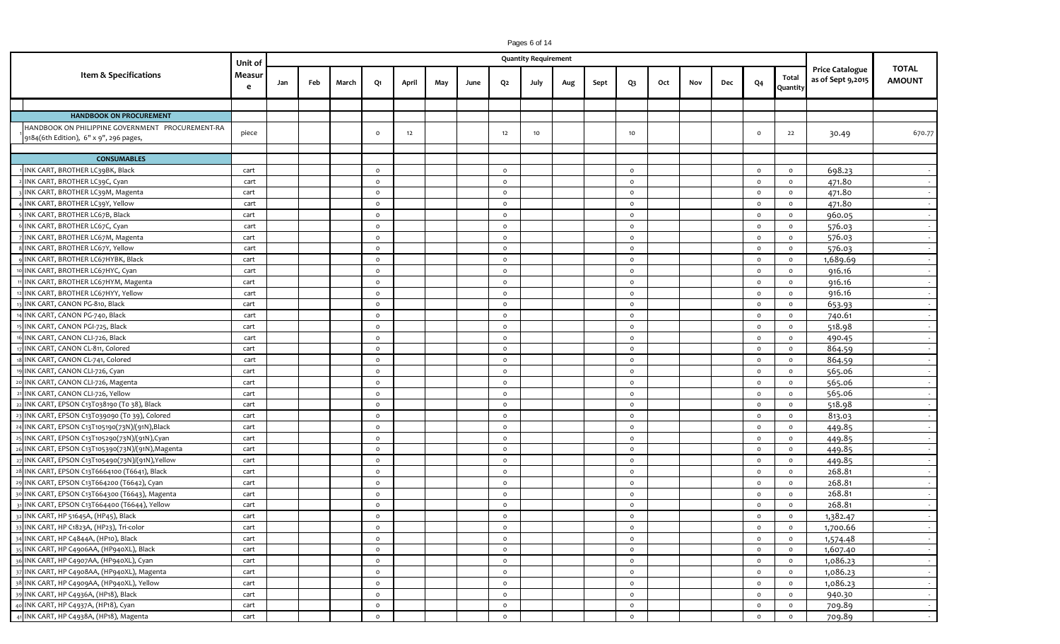|                                                                                            | Unit of     |     |     |       |          |       |     |      |          | <b>Quantity Requirement</b> |     |      |                 |     |     |     |                |                   |                                             |                               |
|--------------------------------------------------------------------------------------------|-------------|-----|-----|-------|----------|-------|-----|------|----------|-----------------------------|-----|------|-----------------|-----|-----|-----|----------------|-------------------|---------------------------------------------|-------------------------------|
| Item & Specifications                                                                      | Measur<br>e | Jan | Feb | March | Q1       | April | May | June | Q2       | July                        | Aug | Sept | Q3              | Oct | Nov | Dec | Q <sub>4</sub> | Total<br>Quantity | <b>Price Catalogue</b><br>as of Sept 9,2015 | <b>TOTAL</b><br><b>AMOUNT</b> |
|                                                                                            |             |     |     |       |          |       |     |      |          |                             |     |      |                 |     |     |     |                |                   |                                             |                               |
| <b>HANDBOOK ON PROCUREMENT</b>                                                             |             |     |     |       |          |       |     |      |          |                             |     |      |                 |     |     |     |                |                   |                                             |                               |
| HANDBOOK ON PHILIPPINE GOVERNMENT PROCUREMENT-RA<br>9184(6th Edition), 6" x 9", 296 pages, | piece       |     |     |       | $\circ$  | 12    |     |      | 12       | 10                          |     |      | 10 <sub>1</sub> |     |     |     | $\circ$        | 22                | 30.49                                       | 670.77                        |
| <b>CONSUMABLES</b>                                                                         |             |     |     |       |          |       |     |      |          |                             |     |      |                 |     |     |     |                |                   |                                             |                               |
|                                                                                            |             |     |     |       |          |       |     |      |          |                             |     |      |                 |     |     |     |                |                   |                                             |                               |
| INK CART, BROTHER LC39BK, Black                                                            | cart        |     |     |       | $\circ$  |       |     |      | $\circ$  |                             |     |      | $\circ$         |     |     |     | $\circ$        | $\circ$           | 698.23                                      | $\sim$                        |
| INK CART, BROTHER LC39C, Cyan                                                              | cart        |     |     |       | $\circ$  |       |     |      | $\circ$  |                             |     |      | $\circ$         |     |     |     | $\circ$        | $\circ$           | 471.80                                      | $\sim$ $-$                    |
| INK CART, BROTHER LC39M, Magenta                                                           | cart        |     |     |       | $\Omega$ |       |     |      | $\Omega$ |                             |     |      | $\circ$         |     |     |     | $\circ$        | $\circ$           | 471.80                                      |                               |
| INK CART, BROTHER LC39Y, Yellow                                                            | cart        |     |     |       | $\circ$  |       |     |      | $\circ$  |                             |     |      | $\circ$         |     |     |     | $\circ$        | $\circ$           | 471.80                                      |                               |
| INK CART, BROTHER LC67B, Black                                                             | cart        |     |     |       | $\circ$  |       |     |      | $\circ$  |                             |     |      | $\circ$         |     |     |     | $\circ$        | $\circ$           | 960.05                                      | $\sim$                        |
| INK CART, BROTHER LC67C, Cyan                                                              | cart        |     |     |       | $\circ$  |       |     |      | $\circ$  |                             |     |      | $\circ$         |     |     |     | $\circ$        | $\circ$           | 576.03                                      |                               |
| INK CART, BROTHER LC67M, Magenta                                                           | cart        |     |     |       | $\circ$  |       |     |      | $\circ$  |                             |     |      | $\circ$         |     |     |     | $\circ$        | $\circ$           | 576.03                                      | $\sim$                        |
| INK CART, BROTHER LC67Y, Yellow                                                            | cart        |     |     |       | $\circ$  |       |     |      | $\circ$  |                             |     |      | $\circ$         |     |     |     | $\circ$        | $\circ$           | 576.03                                      | $\sim$                        |
| INK CART, BROTHER LC67HYBK, Black                                                          | cart        |     |     |       | $\circ$  |       |     |      | $\circ$  |                             |     |      | $\circ$         |     |     |     | $\circ$        | $\circ$           | 1,689.69                                    | $\sim$                        |
| INK CART, BROTHER LC67HYC, Cyan                                                            | cart        |     |     |       | $\circ$  |       |     |      | $\circ$  |                             |     |      | $\circ$         |     |     |     | $\circ$        | $\circ$           | 916.16                                      | $\sim$                        |
| INK CART, BROTHER LC67HYM, Magenta                                                         | cart        |     |     |       | $\circ$  |       |     |      | $\circ$  |                             |     |      | $\circ$         |     |     |     | $\circ$        | $\circ$           | 916.16                                      | $\sim$ $-$                    |
| INK CART, BROTHER LC67HYY, Yellow                                                          | cart        |     |     |       | $\circ$  |       |     |      | $\circ$  |                             |     |      | $\circ$         |     |     |     | $\circ$        | $\circ$           | 916.16                                      |                               |
| INK CART, CANON PG-810, Black                                                              | cart        |     |     |       | $\circ$  |       |     |      | $\circ$  |                             |     |      | $\circ$         |     |     |     | $\circ$        | $\circ$           | 653.93                                      | $\sim$ $-$                    |
| INK CART, CANON PG-740, Black                                                              | cart        |     |     |       | $\circ$  |       |     |      | $\circ$  |                             |     |      | $\circ$         |     |     |     | $\circ$        | $\circ$           | 740.61                                      | $\sim$                        |
| INK CART, CANON PGI-725, Black                                                             | cart        |     |     |       | $\circ$  |       |     |      | $\circ$  |                             |     |      | $\circ$         |     |     |     | $\circ$        | $\circ$           | 518.98                                      | $\sim$                        |
| INK CART, CANON CLI-726, Black                                                             | cart        |     |     |       | $\circ$  |       |     |      | $\circ$  |                             |     |      | $\circ$         |     |     |     | $\circ$        | $\circ$           | 490.45                                      | $\sim$                        |
| INK CART, CANON CL-811, Colored                                                            | cart        |     |     |       | $\circ$  |       |     |      | $\circ$  |                             |     |      | $\circ$         |     |     |     | $\circ$        | $\circ$           | 864.59                                      | $\sim$                        |
| INK CART, CANON CL-741, Colored                                                            | cart        |     |     |       | $\circ$  |       |     |      | $\circ$  |                             |     |      | $\circ$         |     |     |     | $\circ$        | $\circ$           | 864.59                                      | $\sim$                        |
| INK CART, CANON CLI-726, Cyan                                                              | cart        |     |     |       | $\circ$  |       |     |      | $\circ$  |                             |     |      | $\circ$         |     |     |     | $\circ$        | $\circ$           | 565.06                                      |                               |
| INK CART, CANON CLI-726, Magenta                                                           | cart        |     |     |       | $\circ$  |       |     |      | $\Omega$ |                             |     |      | $\circ$         |     |     |     | $\circ$        | $\circ$           | 565.06                                      | $\sim$                        |
| INK CART, CANON CLI-726, Yellow                                                            | cart        |     |     |       | $\circ$  |       |     |      | $\circ$  |                             |     |      | $\circ$         |     |     |     | $\circ$        | $\circ$           | 565.06                                      | $\sim$                        |
| INK CART, EPSON C13T038190 (To 38), Black                                                  | cart        |     |     |       | $\circ$  |       |     |      | $\circ$  |                             |     |      | $\circ$         |     |     |     | $\circ$        | $\circ$           | 518.98                                      | $\sim$                        |
| INK CART, EPSON C13T039090 (To 39), Colored                                                | cart        |     |     |       | $\circ$  |       |     |      | $\circ$  |                             |     |      | $\circ$         |     |     |     | $\circ$        | $\circ$           | 813.03                                      | $\sim$                        |
| INK CART, EPSON C13T105190(73N)/(91N), Black                                               | cart        |     |     |       | $\circ$  |       |     |      | $\circ$  |                             |     |      | $\circ$         |     |     |     | $\circ$        | $\circ$           | 449.85                                      | $\sim$                        |
| INK CART, EPSON C13T105290(73N)/(91N),Cyan                                                 | cart        |     |     |       | $\circ$  |       |     |      | $\circ$  |                             |     |      | $\circ$         |     |     |     | $\circ$        | $\circ$           | 449.85                                      |                               |
| INK CART, EPSON C13T105390(73N)/(91N), Magenta                                             | cart        |     |     |       | $\circ$  |       |     |      | $\circ$  |                             |     |      | $\circ$         |     |     |     | $\circ$        | $\circ$           | 449.85                                      | $\sim$ $-$                    |
| INK CART, EPSON C13T105490(73N)/(91N), Yellow                                              | cart        |     |     |       | $\circ$  |       |     |      | $\circ$  |                             |     |      | $\circ$         |     |     |     | $\circ$        | $\circ$           | 449.85                                      | $\sim$                        |
| INK CART, EPSON C13T6664100 (T6641), Black                                                 | cart        |     |     |       | $\circ$  |       |     |      | $\circ$  |                             |     |      | $\circ$         |     |     |     | $\circ$        | $\circ$           | 268.81                                      | $\sim$ $-$                    |
| INK CART, EPSON C13T664200 (T6642), Cyan                                                   | cart        |     |     |       | $\circ$  |       |     |      | $\circ$  |                             |     |      | $\circ$         |     |     |     | $\circ$        | $\circ$           | 268.81                                      |                               |
| INK CART, EPSON C13T664300 (T6643), Magenta                                                | cart        |     |     |       | $\circ$  |       |     |      | $\circ$  |                             |     |      | $\circ$         |     |     |     | $\circ$        | $\circ$           | 268.81                                      | $\sim$                        |
| INK CART, EPSON C13T664400 (T6644), Yellow                                                 | cart        |     |     |       | $\circ$  |       |     |      | $\circ$  |                             |     |      | $\circ$         |     |     |     | $\circ$        | $\circ$           | 268.81                                      | $\sim$                        |
| 32 INK CART, HP 51645A, (HP45), Black                                                      | cart        |     |     |       | $\circ$  |       |     |      | $\circ$  |                             |     |      | $\circ$         |     |     |     | $\circ$        | $\circ$           | 1,382.47                                    |                               |
| 33 INK CART, HP C1823A, (HP23), Tri-color                                                  | cart        |     |     |       | $\circ$  |       |     |      | $\circ$  |                             |     |      | $\circ$         |     |     |     | $\circ$        | $\circ$           | 1,700.66                                    | $\sim$                        |
| 34 INK CART, HP C4844A, (HP10), Black                                                      | cart        |     |     |       | $\circ$  |       |     |      | $\circ$  |                             |     |      | $\circ$         |     |     |     | $\circ$        | $\circ$           | 1,574.48                                    | $\sim$                        |
| INK CART, HP C4906AA, (HP940XL), Black                                                     | cart        |     |     |       | $\circ$  |       |     |      | $\circ$  |                             |     |      | $\circ$         |     |     |     | $\circ$        | $\circ$           | 1,607.40                                    | $\sim$                        |
| 36 INK CART, HP C4907AA, (HP940XL), Cyan                                                   | cart        |     |     |       | $\circ$  |       |     |      | $\circ$  |                             |     |      | $\circ$         |     |     |     | $\circ$        | $\mathsf{o}\,$    | 1,086.23                                    | $\sim$ $-$                    |
| 7 INK CART, HP C4908AA, (HP940XL), Magenta                                                 | cart        |     |     |       | $\circ$  |       |     |      | $\circ$  |                             |     |      | $\circ$         |     |     |     | $\circ$        | $\circ$           | 1,086.23                                    | $\sim$                        |
| 38 INK CART, HP C4909AA, (HP940XL), Yellow                                                 | cart        |     |     |       | $\circ$  |       |     |      | $\circ$  |                             |     |      | $\circ$         |     |     |     | $\circ$        | $\mathsf{o}\,$    | 1,086.23                                    | $\sim$                        |
| INK CART, HP C4936A, (HP18), Black                                                         | cart        |     |     |       | $\circ$  |       |     |      | $\circ$  |                             |     |      | $\circ$         |     |     |     | $\circ$        | $\circ$           | 940.30                                      | $\sim$ $-$                    |
| INK CART, HP C4937A, (HP18), Cyan                                                          | cart        |     |     |       | $\circ$  |       |     |      | $\circ$  |                             |     |      | $\circ$         |     |     |     | $\circ$        | $\circ$           | 709.89                                      | $\sim$                        |

 $0 \t 709.89$ 

|<br>|<br>|<br>|

INK CART, HP C4938A, (HP18), Magenta cart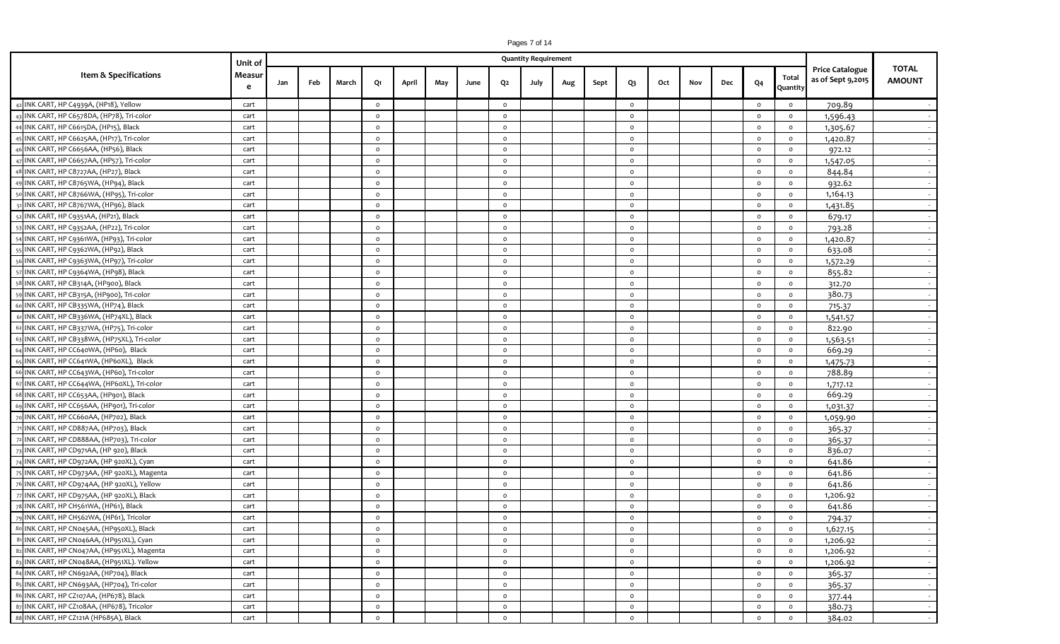|                                             |             |     |     |       |         |       |     |      |         | Pages 7 of 14<br><b>Quantity Requirement</b> |     |      |              |     |     |     |                |                   |                        |                  |
|---------------------------------------------|-------------|-----|-----|-------|---------|-------|-----|------|---------|----------------------------------------------|-----|------|--------------|-----|-----|-----|----------------|-------------------|------------------------|------------------|
|                                             | Unit of     |     |     |       |         |       |     |      |         |                                              |     |      |              |     |     |     |                |                   | <b>Price Catalogue</b> | <b>TOTAL</b>     |
| Item & Specifications                       | Measur<br>e | Jan | Feb | March | Q1      | April | May | June | Q2      | July                                         | Aug | Sept | $Q_3$        | Oct | Nov | Dec | Q <sub>4</sub> | Total<br>Quantity | as of Sept 9,2015      | <b>AMOUNT</b>    |
| INK CART, HP C4939A, (HP18), Yellow         | cart        |     |     |       | $\circ$ |       |     |      | $\circ$ |                                              |     |      | $\circ$      |     |     |     | $\circ$        | $\circ$           | 709.89                 |                  |
| INK CART, HP C6578DA, (HP78), Tri-color     | cart        |     |     |       | $\circ$ |       |     |      | $\circ$ |                                              |     |      | $\circ$      |     |     |     | $\circ$        | $\circ$           | 1,596.43               |                  |
| INK CART, HP C6615DA, (HP15), Black         | cart        |     |     |       | $\circ$ |       |     |      | $\circ$ |                                              |     |      | $\circ$      |     |     |     | $\circ$        | $\circ$           | 1,305.67               | $\sim$           |
| INK CART, HP C6625AA, (HP17), Tri-color     | cart        |     |     |       | $\circ$ |       |     |      | $\circ$ |                                              |     |      | $\circ$      |     |     |     | $\circ$        | $\circ$           | 1,420.87               |                  |
| INK CART, HP C6656AA, (HP56), Black         | cart        |     |     |       | $\circ$ |       |     |      | $\circ$ |                                              |     |      | $\circ$      |     |     |     | $\circ$        | $\circ$           | 972.12                 | $\sim$           |
| INK CART, HP C6657AA, (HP57), Tri-color     | cart        |     |     |       | $\circ$ |       |     |      | $\circ$ |                                              |     |      | $\circ$      |     |     |     | $\circ$        | $\circ$           | 1,547.05               | $\sim$           |
| INK CART, HP C8727AA, (HP27), Black         | cart        |     |     |       | $\circ$ |       |     |      | $\circ$ |                                              |     |      | $\circ$      |     |     |     | $\circ$        | $\circ$           | 844.84                 | $\sim$ 100 $\mu$ |
| INK CART, HP C8765WA, (HP94), Black         | cart        |     |     |       | $\circ$ |       |     |      | $\circ$ |                                              |     |      | $\circ$      |     |     |     | $\circ$        | $\circ$           | 932.62                 | $\sim$           |
| INK CART, HP C8766WA, (HP95), Tri-color     | cart        |     |     |       | $\circ$ |       |     |      | $\circ$ |                                              |     |      | $\mathsf{o}$ |     |     |     | $\circ$        | $\circ$           | 1,164.13               | $\sim$           |
| INK CART, HP C8767WA, (HP96), Black         | cart        |     |     |       | $\circ$ |       |     |      | $\circ$ |                                              |     |      | $\circ$      |     |     |     | $\circ$        | $\circ$           | 1,431.85               | $\sim$           |
| INK CART, HP C9351AA, (HP21), Black         | cart        |     |     |       | $\circ$ |       |     |      | $\circ$ |                                              |     |      | $\circ$      |     |     |     | $\circ$        | $\circ$           | 679.17                 | $\sim$ 100 $\mu$ |
| INK CART, HP C9352AA, (HP22), Tri-color     | cart        |     |     |       | $\circ$ |       |     |      | $\circ$ |                                              |     |      | $\circ$      |     |     |     | $\circ$        | $\circ$           | 793.28                 | $\sim$           |
| INK CART, HP C9361WA, (HP93), Tri-color     | cart        |     |     |       | $\circ$ |       |     |      | $\circ$ |                                              |     |      | $\circ$      |     |     |     | $\circ$        | $\circ$           | 1,420.87               | $\sim$           |
| INK CART, HP C9362WA, (HP92), Black         | cart        |     |     |       | $\circ$ |       |     |      | $\circ$ |                                              |     |      | $\circ$      |     |     |     | $\circ$        | $\circ$           | 633.08                 |                  |
| INK CART, HP C9363WA, (HP97), Tri-color     | cart        |     |     |       | $\circ$ |       |     |      | $\circ$ |                                              |     |      | $\circ$      |     |     |     | $\circ$        | $\circ$           | 1,572.29               |                  |
| INK CART, HP C9364WA, (HP98), Black         | cart        |     |     |       | $\circ$ |       |     |      | $\circ$ |                                              |     |      | $\circ$      |     |     |     | $\circ$        | $\circ$           | 855.82                 |                  |
| INK CART, HP CB314A, (HP900), Black         | cart        |     |     |       | $\circ$ |       |     |      | $\circ$ |                                              |     |      | $\circ$      |     |     |     | $\circ$        | $\circ$           | 312.70                 |                  |
| INK CART, HP CB315A, (HP900), Tri-color     | cart        |     |     |       | $\circ$ |       |     |      | $\circ$ |                                              |     |      | $\circ$      |     |     |     | $\circ$        | $\circ$           | 380.73                 | $\sim$           |
| INK CART, HP CB335WA, (HP74), Black         | cart        |     |     |       | $\circ$ |       |     |      | $\circ$ |                                              |     |      | $\mathsf{o}$ |     |     |     | $\circ$        | $\circ$           | 715.37                 | $\sim$           |
| INK CART, HP CB336WA, (HP74XL), Black       | cart        |     |     |       | $\circ$ |       |     |      | $\circ$ |                                              |     |      | $\circ$      |     |     |     | $\circ$        | $\circ$           | 1,541.57               | $\sim$           |
| INK CART, HP CB337WA, (HP75), Tri-color     | cart        |     |     |       | $\circ$ |       |     |      | $\circ$ |                                              |     |      | $\circ$      |     |     |     | $\circ$        | $\circ$           | 822.90                 |                  |
| INK CART, HP CB338WA, (HP75XL), Tri-color   | cart        |     |     |       | $\circ$ |       |     |      | $\circ$ |                                              |     |      | $\circ$      |     |     |     | $\circ$        | $\circ$           | 1,563.51               | $\sim$           |
| INK CART, HP CC640WA, (HP60), Black         | cart        |     |     |       | $\circ$ |       |     |      | $\circ$ |                                              |     |      | $\circ$      |     |     |     | $\circ$        | $\circ$           | 669.29                 | $\sim$           |
| INK CART, HP CC641WA, (HP60XL), Black       | cart        |     |     |       | $\circ$ |       |     |      | $\circ$ |                                              |     |      | $\circ$      |     |     |     | $\circ$        | $\circ$           | 1,475.73               | $\sim$           |
| INK CART, HP CC643WA, (HP60), Tri-color     | cart        |     |     |       | $\circ$ |       |     |      | $\circ$ |                                              |     |      | $\circ$      |     |     |     | $\circ$        | $\circ$           | 788.89                 | $\sim$           |
| INK CART, HP CC644WA, (HP60XL), Tri-color   | cart        |     |     |       | $\circ$ |       |     |      | $\circ$ |                                              |     |      | $\circ$      |     |     |     | $\circ$        | $\circ$           | 1,717.12               | $\sim$           |
| INK CART, HP CC653AA, (HP901), Black        | cart        |     |     |       | $\circ$ |       |     |      | $\circ$ |                                              |     |      | $\circ$      |     |     |     | $\circ$        | $\circ$           | 669.29                 | $\sim$           |
| INK CART, HP CC656AA, (HP901), Tri-color    | cart        |     |     |       | $\circ$ |       |     |      | $\circ$ |                                              |     |      | $\circ$      |     |     |     | $\circ$        | $\circ$           | 1,031.37               | $\sim$           |
| INK CART, HP CC660AA, (HP702), Black        | cart        |     |     |       | $\circ$ |       |     |      | $\circ$ |                                              |     |      | $\circ$      |     |     |     | $\circ$        | $\circ$           | 1,059.90               |                  |
| INK CART, HP CD887AA, (HP703), Black        | cart        |     |     |       | $\circ$ |       |     |      | $\circ$ |                                              |     |      | $\circ$      |     |     |     | $\circ$        | $\circ$           | 365.37                 |                  |
| INK CART, HP CD888AA, (HP703), Tri-color    | cart        |     |     |       | $\circ$ |       |     |      | $\circ$ |                                              |     |      | $\circ$      |     |     |     | $\circ$        | $\circ$           | 365.37                 |                  |
| INK CART, HP CD971AA, (HP 920), Black       | cart        |     |     |       | $\circ$ |       |     |      | $\circ$ |                                              |     |      | $\circ$      |     |     |     | $\circ$        | $\circ$           | 836.07                 |                  |
| INK CART, HP CD972AA, (HP 920XL), Cyan      | cart        |     |     |       | $\circ$ |       |     |      | $\circ$ |                                              |     |      | $\circ$      |     |     |     | $\circ$        | $\circ$           | 641.86                 | $\sim$           |
| INK CART, HP CD973AA, (HP 920XL), Magenta   | cart        |     |     |       | $\circ$ |       |     |      | $\circ$ |                                              |     |      | $\circ$      |     |     |     | $\circ$        | $\circ$           | 641.86                 |                  |
| INK CART, HP CD974AA, (HP 920XL), Yellow    | cart        |     |     |       | $\circ$ |       |     |      | $\circ$ |                                              |     |      | $\circ$      |     |     |     | $\circ$        | $\circ$           | 641.86                 | $\sim$           |
| INK CART, HP CD975AA, (HP 920XL), Black     | cart        |     |     |       | $\circ$ |       |     |      | $\circ$ |                                              |     |      | $\circ$      |     |     |     | $\circ$        | $\circ$           | 1,206.92               | $\sim$ $-$       |
| INK CART, HP CH561WA, (HP61), Black         | cart        |     |     |       | $\circ$ |       |     |      | $\circ$ |                                              |     |      | $\circ$      |     |     |     | $\circ$        | $\circ$           | 641.86                 |                  |
| INK CART, HP CH562WA, (HP61), Tricolor      | cart        |     |     |       | $\circ$ |       |     |      | $\circ$ |                                              |     |      | $\mathsf{o}$ |     |     |     | $\circ$        | $\circ$           | 794.37                 | $\sim$ $-$       |
| 80 INK CART, HP CN045AA, (HP950XL), Black   | cart        |     |     |       | $\circ$ |       |     |      | $\circ$ |                                              |     |      | $\mathsf{o}$ |     |     |     | $\circ$        | $\circ$           | 1,627.15               | $\sim$           |
| 81 INK CART, HP CN046AA, (HP951XL), Cyan    | cart        |     |     |       | $\circ$ |       |     |      | $\circ$ |                                              |     |      | $\circ$      |     |     |     | $\circ$        | $\circ$           | 1,206.92               | $\sim$           |
| INK CART, HP CN047AA, (HP951XL), Magenta    | cart        |     |     |       | $\circ$ |       |     |      | $\circ$ |                                              |     |      | $\circ$      |     |     |     | $\circ$        | $\circ$           | 1,206.92               | $\sim$           |
| INK CART, HP CN048AA, (HP951XL). Yellow     | cart        |     |     |       | $\circ$ |       |     |      | $\circ$ |                                              |     |      | $\circ$      |     |     |     | $\circ$        | $\circ$           | 1,206.92               | $\sim$           |
| 84 INK CART, HP CN692AA, (HP704), Black     | cart        |     |     |       | $\circ$ |       |     |      | $\circ$ |                                              |     |      | $\mathsf{o}$ |     |     |     | $\circ$        | $\circ$           | 365.37                 | $\sim$           |
| 85 INK CART, HP CN693AA, (HP704), Tri-color | cart        |     |     |       | $\circ$ |       |     |      | $\circ$ |                                              |     |      | $\circ$      |     |     |     | $\circ$        | $\circ$           | 365.37                 | $\sim$ 100 $\mu$ |
| 86 INK CART, HP CZ107AA, (HP678), Black     | cart        |     |     |       | $\circ$ |       |     |      | $\circ$ |                                              |     |      | $\circ$      |     |     |     | $\circ$        | $\circ$           | 377.44                 | $\sim$ 100 $\mu$ |
| INK CART, HP CZ108AA, (HP678), Tricolor     | cart        |     |     |       | $\circ$ |       |     |      | $\circ$ |                                              |     |      | $\circ$      |     |     |     | $\circ$        | $\circ$           | 380.73                 | $\sim$ 100 $\mu$ |
| 88 INK CART, HP CZ121A (HP685A), Black      | cart        |     |     |       | $\circ$ |       |     |      | $\circ$ |                                              |     |      | $\circ$      |     |     |     | $\circ$        | $\circ$           | 384.02                 |                  |
|                                             |             |     |     |       |         |       |     |      |         |                                              |     |      |              |     |     |     |                |                   |                        |                  |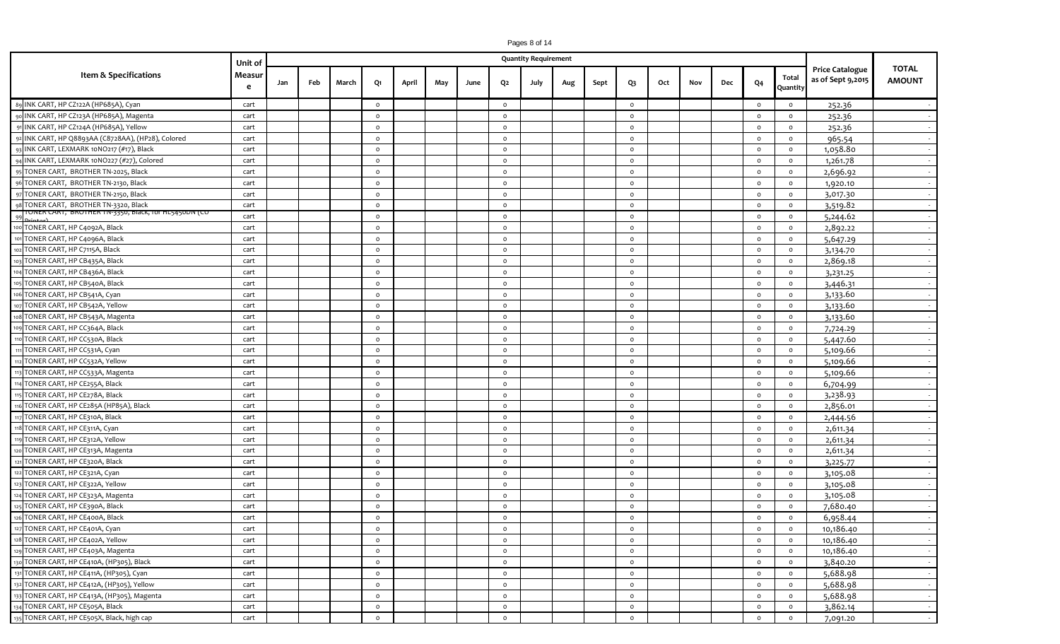|                                                     |             |     |     |       |                |       |     |      |              | Pages 8 of 14<br><b>Quantity Requirement</b> |     |      |         |     |     |     |                |                   |                        |              |
|-----------------------------------------------------|-------------|-----|-----|-------|----------------|-------|-----|------|--------------|----------------------------------------------|-----|------|---------|-----|-----|-----|----------------|-------------------|------------------------|--------------|
|                                                     | Unit of     |     |     |       |                |       |     |      |              |                                              |     |      |         |     |     |     |                |                   | <b>Price Catalogue</b> | <b>TOTAL</b> |
| Item & Specifications                               | Measur<br>e | Jan | Feb | March | Q1             | April | May | June | Q2           | July                                         | Aug | Sept | $Q_3$   | Oct | Nov | Dec | Q <sub>4</sub> | Total<br>Quantity | as of Sept 9,2015      | AMOUNT       |
| 89 INK CART, HP CZ122A (HP685A), Cyan               | cart        |     |     |       | $\circ$        |       |     |      | $\circ$      |                                              |     |      | $\circ$ |     |     |     | $\circ$        | $\circ$           | 252.36                 |              |
| INK CART, HP CZ123A (HP685A), Magenta               | cart        |     |     |       | $\circ$        |       |     |      | $\circ$      |                                              |     |      | $\circ$ |     |     |     | $\circ$        | $\circ$           | 252.36                 | $\sim$ $-$   |
| INK CART, HP CZ124A (HP685A), Yellow                | cart        |     |     |       | $\circ$        |       |     |      | $\circ$      |                                              |     |      | $\circ$ |     |     |     | $\circ$        | $\circ$           | 252.36                 |              |
| 2 INK CART, HP Q8893AA (C8728AA), (HP28), Colored   | cart        |     |     |       | $\circ$        |       |     |      | $\circ$      |                                              |     |      | $\circ$ |     |     |     | $\circ$        | $\circ$           | 965.54                 | $\sim$ $-$   |
| INK CART, LEXMARK 10NO217 (#17), Black              | cart        |     |     |       | $\circ$        |       |     |      | $\circ$      |                                              |     |      | $\circ$ |     |     |     | $\circ$        | $\circ$           | 1,058.80               |              |
| INK CART, LEXMARK 10NO227 (#27), Colored            | cart        |     |     |       | $\circ$        |       |     |      | $\circ$      |                                              |     |      | $\circ$ |     |     |     | $\circ$        | $\circ$           | 1,261.78               | $\sim$       |
| TONER CART, BROTHER TN-2025, Black                  | cart        |     |     |       | $\circ$        |       |     |      | $\circ$      |                                              |     |      | $\circ$ |     |     |     | $\circ$        | $\circ$           | 2,696.92               | $\sim$       |
| TONER CART, BROTHER TN-2130, Black                  | cart        |     |     |       | $\circ$        |       |     |      | $\circ$      |                                              |     |      | $\circ$ |     |     |     | $\circ$        | $\circ$           | 1,920.10               |              |
| TONER CART, BROTHER TN-2150, Black                  | cart        |     |     |       | $\circ$        |       |     |      | $\circ$      |                                              |     |      | $\circ$ |     |     |     | $\circ$        | $\circ$           | 3,017.30               |              |
| TONER CART, BROTHER TN-3320, Black                  | cart        |     |     |       | $\circ$        |       |     |      | $\circ$      |                                              |     |      | $\circ$ |     |     |     | $\circ$        | $\circ$           | 3,519.82               |              |
| ONER CART, BROTHER TN-3350, BIACK, TOT HL5450DN (CO | cart        |     |     |       | $\circ$        |       |     |      | $\circ$      |                                              |     |      | $\circ$ |     |     |     | $\circ$        | $\circ$           | 5,244.62               | $\sim$       |
| TONER CART, HP C4092A, Black                        | cart        |     |     |       | $\circ$        |       |     |      | $\circ$      |                                              |     |      | $\circ$ |     |     |     | $\circ$        | $\circ$           | 2,892.22               | $\sim$       |
| TONER CART, HP C4096A, Black                        | cart        |     |     |       | $\circ$        |       |     |      | $\circ$      |                                              |     |      | $\circ$ |     |     |     | $\circ$        | $\circ$           | 5,647.29               | $\sim$ $-$   |
| TONER CART, HP C7115A, Black                        | cart        |     |     |       | $\circ$        |       |     |      | $\circ$      |                                              |     |      | $\circ$ |     |     |     | $\circ$        | $\circ$           | 3,134.70               |              |
| TONER CART, HP CB435A, Black                        | cart        |     |     |       | $\circ$        |       |     |      | $\circ$      |                                              |     |      | $\circ$ |     |     |     | $\circ$        | $\circ$           | 2,869.18               | $\sim$ $-$   |
| TONER CART, HP CB436A, Black                        | cart        |     |     |       | $\circ$        |       |     |      | $\circ$      |                                              |     |      | $\circ$ |     |     |     | $\circ$        | $\circ$           | 3,231.25               | $\sim$       |
| TONER CART, HP CB540A, Black                        | cart        |     |     |       | $\circ$        |       |     |      | $\circ$      |                                              |     |      | $\circ$ |     |     |     | $\circ$        | $\circ$           | 3,446.31               | $\sim$ $-$   |
| TONER CART, HP CB541A, Cyan                         | cart        |     |     |       | $\circ$        |       |     |      | $\circ$      |                                              |     |      | $\circ$ |     |     |     | $\circ$        | $\circ$           | 3,133.60               |              |
| TONER CART, HP CB542A, Yellow                       | cart        |     |     |       | $\circ$        |       |     |      | $\circ$      |                                              |     |      | $\circ$ |     |     |     | $\circ$        | $\circ$           | 3,133.60               | $\sim$       |
| TONER CART, HP CB543A, Magenta                      | cart        |     |     |       | $\circ$        |       |     |      | $\circ$      |                                              |     |      | $\circ$ |     |     |     | $\circ$        | $\circ$           | 3,133.60               | $\sim$       |
| TONER CART, HP CC364A, Black                        | cart        |     |     |       | $\circ$        |       |     |      | $\circ$      |                                              |     |      | $\circ$ |     |     |     | $\circ$        | $\circ$           | 7,724.29               |              |
| TONER CART, HP CC530A, Black                        | cart        |     |     |       | $\Omega$       |       |     |      | $\circ$      |                                              |     |      | $\circ$ |     |     |     | $\circ$        | $\circ$           | 5,447.60               | $\sim$       |
| TONER CART, HP CC531A, Cyan                         | cart        |     |     |       | $\circ$        |       |     |      | $\circ$      |                                              |     |      | $\circ$ |     |     |     | $\circ$        | $\circ$           | 5,109.66               |              |
| TONER CART, HP CC532A, Yellow                       | cart        |     |     |       | $\circ$        |       |     |      | $\circ$      |                                              |     |      | $\circ$ |     |     |     | $\circ$        | $\circ$           | 5,109.66               | $\sim$       |
| TONER CART, HP CC533A, Magenta                      | cart        |     |     |       | $\circ$        |       |     |      | $\circ$      |                                              |     |      | $\circ$ |     |     |     | $\circ$        | $\circ$           | 5,109.66               | $\sim$ $-$   |
| TONER CART, HP CE255A, Black                        | cart        |     |     |       | $\circ$        |       |     |      | $\circ$      |                                              |     |      | $\circ$ |     |     |     | $\circ$        | $\circ$           | 6,704.99               | $\sim$ $-$   |
| TONER CART, HP CE278A, Black                        | cart        |     |     |       | $\circ$        |       |     |      | $\circ$      |                                              |     |      | $\circ$ |     |     |     | $\circ$        | $\circ$           | 3,238.93               |              |
| TONER CART, HP CE285A (HP85A), Black                | cart        |     |     |       | $\circ$        |       |     |      | $\circ$      |                                              |     |      | $\circ$ |     |     |     | $\circ$        | $\circ$           | 2,856.01               | $\sim$ $-$   |
| TONER CART, HP CE310A, Black                        | cart        |     |     |       | $\circ$        |       |     |      | $\circ$      |                                              |     |      | $\circ$ |     |     |     | $\circ$        | $\circ$           | 2,444.56               |              |
| TONER CART, HP CE311A, Cyan                         | cart        |     |     |       | $\circ$        |       |     |      | $\circ$      |                                              |     |      | $\circ$ |     |     |     | $\circ$        | $\circ$           | 2,611.34               | $\sim$ $-$   |
| TONER CART, HP CE312A, Yellow                       | cart        |     |     |       | $\circ$        |       |     |      | $\circ$      |                                              |     |      | $\circ$ |     |     |     | $\circ$        | $\circ$           | 2,611.34               |              |
| TONER CART, HP CE313A, Magenta                      | cart        |     |     |       | $\circ$        |       |     |      | $\circ$      |                                              |     |      | $\circ$ |     |     |     | $\circ$        | $\circ$           | 2,611.34               | $\sim$       |
| TONER CART, HP CE320A, Black                        | cart        |     |     |       | $\circ$        |       |     |      | $\circ$      |                                              |     |      | $\circ$ |     |     |     | $\circ$        | $\circ$           | 3,225.77               | $\sim$       |
| TONER CART, HP CE321A, Cyan                         | cart        |     |     |       | $\circ$        |       |     |      | $\circ$      |                                              |     |      | $\circ$ |     |     |     | $\circ$        | $\circ$           | 3,105.08               | $\sim$       |
| TONER CART, HP CE322A, Yellow                       | cart        |     |     |       | $\circ$        |       |     |      | $\circ$      |                                              |     |      | $\circ$ |     |     |     | $\circ$        | $\circ$           | 3,105.08               |              |
| TONER CART, HP CE323A, Magenta                      | cart        |     |     |       | $\circ$        |       |     |      | $\circ$      |                                              |     |      | $\circ$ |     |     |     | $\circ$        | $\circ$           | 3,105.08               |              |
| TONER CART, HP CE390A, Black                        | cart        |     |     |       | $\circ$        |       |     |      | $\circ$      |                                              |     |      | $\circ$ |     |     |     | $\circ$        | $\circ$           | 7,680.40               |              |
| 126 TONER CART, HP CE400A, Black                    | cart        |     |     |       | $\circ$        |       |     |      | $\circ$      |                                              |     |      | $\circ$ |     |     |     | $\circ$        | $\circ$           | 6,958.44               | $\sim$       |
| TONER CART, HP CE401A, Cyan<br>12                   | cart        |     |     |       | $\circ$        |       |     |      | $\mathsf{o}$ |                                              |     |      | $\circ$ |     |     |     | $\circ$        | $\circ$           | 10,186.40              | $\sim$       |
| TONER CART, HP CE402A, Yellow                       | cart        |     |     |       | $\circ$        |       |     |      | $\mathsf{o}$ |                                              |     |      | $\circ$ |     |     |     | $\circ$        | $\circ$           | 10,186.40              | $\sim$       |
| TONER CART, HP CE403A, Magenta                      | cart        |     |     |       | $\mathsf{o}\,$ |       |     |      | $\circ$      |                                              |     |      | $\circ$ |     |     |     | $\circ$        | $\circ$           | 10,186.40              | $\sim$       |
| TONER CART, HP CE410A, (HP305), Black               | cart        |     |     |       | $\circ$        |       |     |      | $\circ$      |                                              |     |      | $\circ$ |     |     |     | $\circ$        | $\circ$           | 3,840.20               | $\sim$       |
| 131 TONER CART, HP CE411A, (HP305), Cyan            | cart        |     |     |       | $\mathsf{o}\,$ |       |     |      | $\circ$      |                                              |     |      | $\circ$ |     |     |     | $\circ$        | $\circ$           | 5,688.98               | $\sim$ $-$   |
| 2 TONER CART, HP CE412A, (HP305), Yellow<br>13.     | cart        |     |     |       | $\mathsf{o}\,$ |       |     |      | $\mathsf{o}$ |                                              |     |      | $\circ$ |     |     |     | $\circ$        | $\circ$           | 5,688.98               | $\sim$       |
| TONER CART, HP CE413A, (HP305), Magenta             | cart        |     |     |       | $\mathsf{o}\,$ |       |     |      | $\circ$      |                                              |     |      | $\circ$ |     |     |     | $\circ$        | $\circ$           | 5,688.98               | $\sim$ $-$   |
| TONER CART, HP CE505A, Black<br>13                  | cart        |     |     |       | $\circ$        |       |     |      | $\circ$      |                                              |     |      | $\circ$ |     |     |     | $\circ$        | $\circ$           | 3,862.14               | $\sim$       |

 $\overline{0}$ 

 $\overline{0}$ 

 $\overline{\mathbf{0}}$ 

 $0 \t 7,091.20$ 

 $\overline{0}$ 

135 TONER CART, HP CE505X, Black, high cap cart cart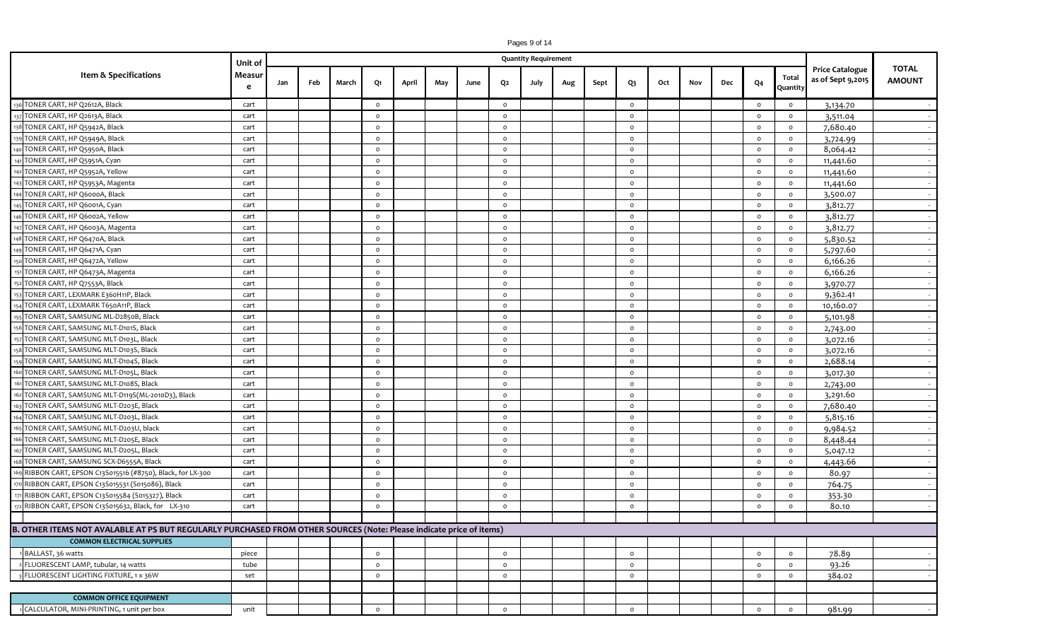|                                                                                                                     | Unit of     |     |     |       |         |       |     |      |                | <b>Quantity Requirement</b> |     |      |                |     |     |     |                |                   |                                             |                               |
|---------------------------------------------------------------------------------------------------------------------|-------------|-----|-----|-------|---------|-------|-----|------|----------------|-----------------------------|-----|------|----------------|-----|-----|-----|----------------|-------------------|---------------------------------------------|-------------------------------|
| Item & Specifications                                                                                               | Measur<br>e | Jan | Feb | March | Q1      | April | May | June | Q <sub>2</sub> | July                        | Aug | Sept | Q <sub>3</sub> | Oct | Nov | Dec | Q <sub>4</sub> | Total<br>Quantity | <b>Price Catalogue</b><br>as of Sept 9,2015 | <b>TOTAL</b><br><b>AMOUNT</b> |
| 136 TONER CART, HP Q2612A, Black                                                                                    | cart        |     |     |       | $\circ$ |       |     |      | $\circ$        |                             |     |      | $\circ$        |     |     |     | $\circ$        | $\circ$           | 3,134.70                                    |                               |
| TONER CART, HP Q2613A, Black                                                                                        | cart        |     |     |       | $\circ$ |       |     |      | $\circ$        |                             |     |      | $\circ$        |     |     |     | $\circ$        | $\circ$           | 3,511.04                                    | $\sim$                        |
| TONER CART, HP Q5942A, Black                                                                                        | cart        |     |     |       | $\circ$ |       |     |      | $\circ$        |                             |     |      | $\circ$        |     |     |     | $\circ$        | $\circ$           | 7,680.40                                    | $\sim$                        |
| TONER CART, HP Q5949A, Black                                                                                        | cart        |     |     |       | $\circ$ |       |     |      | $\circ$        |                             |     |      | $\circ$        |     |     |     | $\circ$        | $\circ$           | 3,724.99                                    | $\sim$                        |
| TONER CART, HP Q5950A, Black                                                                                        | cart        |     |     |       | $\circ$ |       |     |      | $\circ$        |                             |     |      | $\circ$        |     |     |     | $\circ$        | $\circ$           | 8,064.42                                    |                               |
| TONER CART, HP Q5951A, Cyan                                                                                         | cart        |     |     |       | $\circ$ |       |     |      | $\circ$        |                             |     |      | $\circ$        |     |     |     | $\circ$        | $\circ$           | 11,441.60                                   | $\sim$                        |
| TONER CART, HP Q5952A, Yellow                                                                                       | cart        |     |     |       | $\circ$ |       |     |      | $\circ$        |                             |     |      | $\circ$        |     |     |     | $\circ$        | $\circ$           | 11,441.60                                   | $\sim$                        |
| TONER CART, HP Q5953A, Magenta                                                                                      | cart        |     |     |       | $\circ$ |       |     |      | $\circ$        |                             |     |      | $\circ$        |     |     |     | $\circ$        | $\circ$           | 11,441.60                                   |                               |
| TONER CART, HP Q6000A, Black                                                                                        | cart        |     |     |       | $\circ$ |       |     |      | $\circ$        |                             |     |      | $\circ$        |     |     |     | $\circ$        | $\circ$           | 3,500.07                                    |                               |
| TONER CART, HP Q6001A, Cyan                                                                                         | cart        |     |     |       | $\circ$ |       |     |      | $\circ$        |                             |     |      | $\circ$        |     |     |     | $\circ$        | $\circ$           | 3,812.77                                    |                               |
| TONER CART, HP Q6002A, Yellow                                                                                       | cart        |     |     |       | $\circ$ |       |     |      | $\circ$        |                             |     |      | $\circ$        |     |     |     | $\circ$        | $\circ$           | 3,812.77                                    | $\sim$                        |
| TONER CART, HP Q6003A, Magenta                                                                                      | cart        |     |     |       | $\circ$ |       |     |      | $\circ$        |                             |     |      | $\circ$        |     |     |     | $\circ$        | $\circ$           | 3,812.77                                    | $\sim$                        |
| TONER CART, HP Q6470A, Black                                                                                        | cart        |     |     |       | $\circ$ |       |     |      | $\circ$        |                             |     |      | $\circ$        |     |     |     | $\circ$        | $\circ$           | 5,830.52                                    | $\sim$                        |
| TONER CART, HP Q6471A, Cyan                                                                                         | cart        |     |     |       | $\circ$ |       |     |      | $\circ$        |                             |     |      | $\circ$        |     |     |     | $\circ$        | $\circ$           | 5,797.60                                    |                               |
| TONER CART, HP Q6472A, Yellow                                                                                       | cart        |     |     |       | $\circ$ |       |     |      | $\circ$        |                             |     |      | $\circ$        |     |     |     | $\circ$        | $\circ$           | 6,166.26                                    | $\sim$ $-$                    |
| TONER CART, HP Q6473A, Magenta                                                                                      | cart        |     |     |       | $\circ$ |       |     |      | $\circ$        |                             |     |      | $\circ$        |     |     |     | $\circ$        | $\circ$           | 6,166.26                                    | $\sim$                        |
| TONER CART, HP Q7553A, Black                                                                                        | cart        |     |     |       | $\circ$ |       |     |      | $\circ$        |                             |     |      | $\circ$        |     |     |     | $\circ$        | $\circ$           | 3,970.77                                    | $\sim$ $-$                    |
| TONER CART, LEXMARK E360H11P, Black                                                                                 | cart        |     |     |       | $\circ$ |       |     |      | $\circ$        |                             |     |      | $\circ$        |     |     |     | $\circ$        | $\circ$           | 9,362.41                                    |                               |
| TONER CART, LEXMARK T650A11P, Black                                                                                 | cart        |     |     |       | $\circ$ |       |     |      | $\circ$        |                             |     |      | $\circ$        |     |     |     | $\circ$        | $\circ$           | 10,160.07                                   | $\sim$                        |
| TONER CART, SAMSUNG ML-D2850B, Black                                                                                | cart        |     |     |       | $\circ$ |       |     |      | $\circ$        |                             |     |      | $\circ$        |     |     |     | $\circ$        | $\circ$           | 5,101.98                                    | $\sim$                        |
| TONER CART, SAMSUNG MLT-D101S, Black                                                                                | cart        |     |     |       | $\circ$ |       |     |      | $\circ$        |                             |     |      | $\circ$        |     |     |     | $\circ$        | $\circ$           | 2,743.00                                    |                               |
| TONER CART, SAMSUNG MLT-D103L, Black                                                                                | cart        |     |     |       | $\circ$ |       |     |      | $\circ$        |                             |     |      | $\circ$        |     |     |     | $\circ$        | $\circ$           | 3,072.16                                    |                               |
| TONER CART, SAMSUNG MLT-D103S, Black                                                                                | cart        |     |     |       | $\circ$ |       |     |      | $\circ$        |                             |     |      | $\circ$        |     |     |     | $\circ$        | $\circ$           | 3,072.16                                    | $\sim$                        |
| TONER CART, SAMSUNG MLT-D104S, Black                                                                                | cart        |     |     |       | $\circ$ |       |     |      | $\circ$        |                             |     |      | $\circ$        |     |     |     | $\circ$        | $\circ$           | 2,688.14                                    | $\sim$                        |
| TONER CART, SAMSUNG MLT-D105L, Black                                                                                | cart        |     |     |       | $\circ$ |       |     |      | $\circ$        |                             |     |      | $\circ$        |     |     |     | $\circ$        | $\circ$           | 3,017.30                                    | $\sim$                        |
| TONER CART, SAMSUNG MLT-D108S, Black                                                                                | cart        |     |     |       | $\circ$ |       |     |      | $\circ$        |                             |     |      | $\circ$        |     |     |     | $\circ$        | $\circ$           | 2,743.00                                    | $\sim$                        |
| TONER CART, SAMSUNG MLT-D119S(ML-2010D3), Black                                                                     | cart        |     |     |       | $\circ$ |       |     |      | $\circ$        |                             |     |      | $\circ$        |     |     |     | $\circ$        | $\circ$           | 3,291.60                                    |                               |
| TONER CART, SAMSUNG MLT-D203E, Black                                                                                | cart        |     |     |       | $\circ$ |       |     |      | $\circ$        |                             |     |      | $\circ$        |     |     |     | $\circ$        | $\circ$           | 7,680.40                                    | $\sim$                        |
| TONER CART, SAMSUNG MLT-D203L, Black                                                                                | cart        |     |     |       | $\circ$ |       |     |      | $\circ$        |                             |     |      | $\circ$        |     |     |     | $\circ$        | $\circ$           | 5,815.16                                    |                               |
| TONER CART, SAMSUNG MLT-D203U, black                                                                                | cart        |     |     |       | $\circ$ |       |     |      | $\circ$        |                             |     |      | $\circ$        |     |     |     | $\circ$        | $\circ$           | 9,984.52                                    | $\sim$ $-$                    |
| TONER CART, SAMSUNG MLT-D205E, Black                                                                                | cart        |     |     |       | $\circ$ |       |     |      | $\circ$        |                             |     |      | $\circ$        |     |     |     | $\circ$        | $\circ$           | 8,448.44                                    | $\sim$                        |
| TONER CART, SAMSUNG MLT-D205L, Black                                                                                | cart        |     |     |       | $\circ$ |       |     |      | $\circ$        |                             |     |      | $\circ$        |     |     |     | $\circ$        | $\circ$           | 5,047.12                                    | $\sim$                        |
| TONER CART, SAMSUNG SCX-D6555A, Black                                                                               | cart        |     |     |       | $\circ$ |       |     |      | $\circ$        |                             |     |      | $\circ$        |     |     |     | $\circ$        | $\circ$           | 4,443.66                                    | $\sim$                        |
| RIBBON CART, EPSON C13S015516 (#8750), Black, for LX-300                                                            | cart        |     |     |       | $\circ$ |       |     |      | $\circ$        |                             |     |      | $\circ$        |     |     |     | $\circ$        | $\circ$           | 80.97                                       | $\sim$                        |
| RIBBON CART, EPSON C13S015531 (S015086), Black                                                                      | cart        |     |     |       | $\circ$ |       |     |      | $\circ$        |                             |     |      | $\circ$        |     |     |     | $\circ$        | $\circ$           | 764.75                                      |                               |
| RIBBON CART, EPSON C13S015584 (S015327), Black                                                                      | cart        |     |     |       | $\circ$ |       |     |      | $\circ$        |                             |     |      | $\circ$        |     |     |     | $\circ$        | $\circ$           | 353.30                                      |                               |
| RIBBON CART, EPSON C13S015632, Black, for LX-310                                                                    | cart        |     |     |       | $\circ$ |       |     |      | $\circ$        |                             |     |      | $\circ$        |     |     |     | $\circ$        | $\circ$           | 80.10                                       | $\sim$                        |
|                                                                                                                     |             |     |     |       |         |       |     |      |                |                             |     |      |                |     |     |     |                |                   |                                             |                               |
| B. OTHER ITEMS NOT AVALABLE AT PS BUT REGULARLY PURCHASED FROM OTHER SOURCES (Note: Please indicate price of items) |             |     |     |       |         |       |     |      |                |                             |     |      |                |     |     |     |                |                   |                                             |                               |
| <b>COMMON ELECTRICAL SUPPLIES</b>                                                                                   |             |     |     |       |         |       |     |      |                |                             |     |      |                |     |     |     |                |                   |                                             |                               |
| BALLAST, 36 watts                                                                                                   | piece       |     |     |       | $\circ$ |       |     |      | $\circ$        |                             |     |      | $\circ$        |     |     |     | $\circ$        | $\circ$           | 78.89                                       |                               |
| FLUORESCENT LAMP, tubular, 14 watts                                                                                 | tube        |     |     |       | $\circ$ |       |     |      | $\circ$        |                             |     |      | $\circ$        |     |     |     | $\circ$        | $\circ$           | 93.26                                       | $\sim$                        |
| FLUORESCENT LIGHTING FIXTURE, 1 x 36W                                                                               | set         |     |     |       | $\circ$ |       |     |      | $\circ$        |                             |     |      | $\circ$        |     |     |     | $\circ$        | $\circ$           | 384.02                                      | $\sim$                        |
|                                                                                                                     |             |     |     |       |         |       |     |      |                |                             |     |      |                |     |     |     |                |                   |                                             |                               |
| <b>COMMON OFFICE EQUIPMENT</b>                                                                                      |             |     |     |       |         |       |     |      |                |                             |     |      |                |     |     |     |                |                   |                                             |                               |
| CALCULATOR, MINI-PRINTING, 1 unit per box                                                                           | unit        |     |     |       | $\circ$ |       |     |      | $\circ$        |                             |     |      | $\circ$        |     |     |     | $\circ$        | $\circ$           | 981.99                                      |                               |

Pages 9 of 14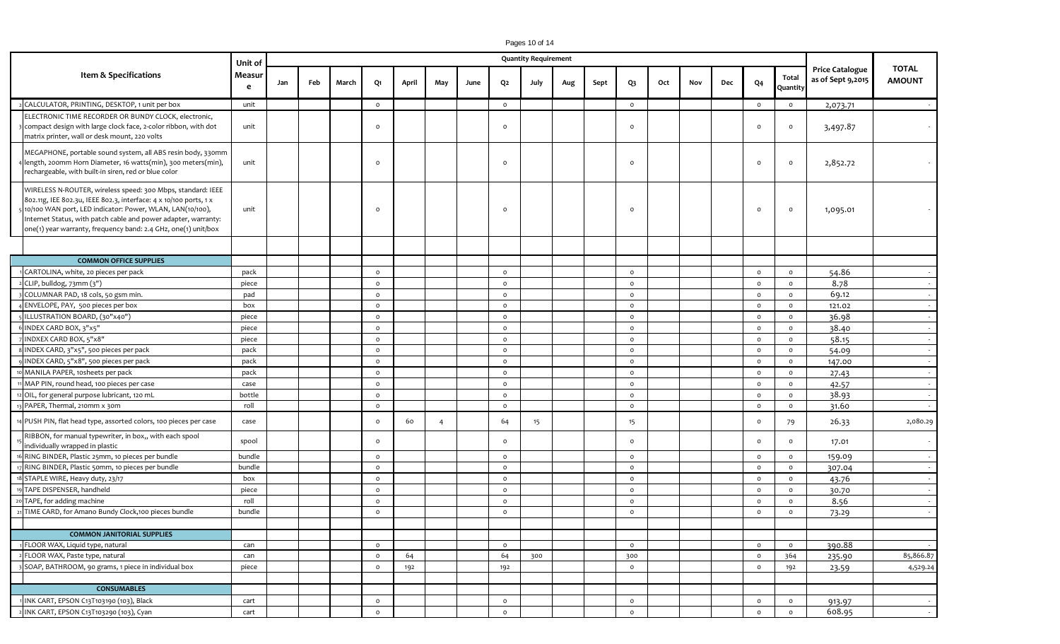|                                                                                                                                                                                                                                                                                                                                  | Unit of |     |     |       |                |       |                |      |          | <b>Quantity Requirement</b> |     |      |          |     |     |     |         |                   |                                             |                               |
|----------------------------------------------------------------------------------------------------------------------------------------------------------------------------------------------------------------------------------------------------------------------------------------------------------------------------------|---------|-----|-----|-------|----------------|-------|----------------|------|----------|-----------------------------|-----|------|----------|-----|-----|-----|---------|-------------------|---------------------------------------------|-------------------------------|
| Item & Specifications                                                                                                                                                                                                                                                                                                            |         | Jan | Feb | March | Q1             | April | May            | June | Q2       | July                        | Aug | Sept | $Q_3$    | Oct | Nov | Dec | Q4      | Total<br>Quantity | <b>Price Catalogue</b><br>as of Sept 9,2015 | <b>TOTAL</b><br><b>AMOUNT</b> |
| CALCULATOR, PRINTING, DESKTOP, 1 unit per box                                                                                                                                                                                                                                                                                    | unit    |     |     |       | $\circ$        |       |                |      | $\circ$  |                             |     |      | $\circ$  |     |     |     | $\circ$ | $\circ$           | 2,073.71                                    |                               |
| ELECTRONIC TIME RECORDER OR BUNDY CLOCK, electronic,<br>compact design with large clock face, 2-color ribbon, with dot<br>matrix printer, wall or desk mount, 220 volts                                                                                                                                                          | unit    |     |     |       | $\circ$        |       |                |      | $\Omega$ |                             |     |      | $\circ$  |     |     |     | $\circ$ | $\circ$           | 3,497.87                                    |                               |
| MEGAPHONE, portable sound system, all ABS resin body, 330mm<br>length, 200mm Horn Diameter, 16 watts(min), 300 meters(min),<br>rechargeable, with built-in siren, red or blue color                                                                                                                                              | unit    |     |     |       | $\circ$        |       |                |      | $\Omega$ |                             |     |      | $\Omega$ |     |     |     | $\circ$ | $\circ$           | 2,852.72                                    |                               |
| WIRELESS N-ROUTER, wireless speed: 300 Mbps, standard: IEEE<br>802.11g, IEE 802.3u, IEEE 802.3, interface: 4 x 10/100 ports, 1 x<br>10/100 WAN port, LED indicator: Power, WLAN, LAN(10/100),<br>nternet Status, with patch cable and power adapter, warranty:<br>one(1) year warranty, frequency band: 2.4 GHz, one(1) unit/box | unit    |     |     |       | $\circ$        |       |                |      | $\Omega$ |                             |     |      | $\circ$  |     |     |     | $\circ$ | $\circ$           | 1,095.01                                    |                               |
|                                                                                                                                                                                                                                                                                                                                  |         |     |     |       |                |       |                |      |          |                             |     |      |          |     |     |     |         |                   |                                             |                               |
| <b>COMMON OFFICE SUPPLIES</b>                                                                                                                                                                                                                                                                                                    |         |     |     |       |                |       |                |      |          |                             |     |      |          |     |     |     |         |                   |                                             |                               |
| CARTOLINA, white, 20 pieces per pack                                                                                                                                                                                                                                                                                             | pack    |     |     |       | $\circ$        |       |                |      | $\circ$  |                             |     |      | $\circ$  |     |     |     | $\circ$ | $\circ$           | 54.86                                       |                               |
| CLIP, bulldog, 73mm (3")                                                                                                                                                                                                                                                                                                         | piece   |     |     |       | $\circ$        |       |                |      | $\circ$  |                             |     |      | $\circ$  |     |     |     | $\circ$ | $\circ$           | 8.78                                        |                               |
| COLUMNAR PAD, 18 cols, 50 gsm min.                                                                                                                                                                                                                                                                                               | pad     |     |     |       | $\circ$        |       |                |      | $\circ$  |                             |     |      | $\circ$  |     |     |     | $\circ$ | $\circ$           | 69.12                                       |                               |
| ENVELOPE, PAY, 500 pieces per box                                                                                                                                                                                                                                                                                                | box     |     |     |       | $\circ$        |       |                |      | $\circ$  |                             |     |      | $\circ$  |     |     |     | $\circ$ | $\circ$           | 121.02                                      |                               |
| ILLUSTRATION BOARD, (30"x40")                                                                                                                                                                                                                                                                                                    | piece   |     |     |       | $\circ$        |       |                |      | $\circ$  |                             |     |      | $\circ$  |     |     |     | $\circ$ | $\circ$           | 36.98                                       |                               |
| INDEX CARD BOX, 3"x5"                                                                                                                                                                                                                                                                                                            | piece   |     |     |       | $\circ$        |       |                |      | $\circ$  |                             |     |      | $\circ$  |     |     |     | $\circ$ | $\circ$           | 38.40                                       |                               |
| INDXEX CARD BOX, 5"x8"                                                                                                                                                                                                                                                                                                           | piece   |     |     |       | $\circ$        |       |                |      | $\circ$  |                             |     |      | $\circ$  |     |     |     | $\circ$ | $\circ$           | 58.15                                       |                               |
| INDEX CARD, 3"x5", 500 pieces per pack                                                                                                                                                                                                                                                                                           | pack    |     |     |       | $\circ$        |       |                |      | $\circ$  |                             |     |      | $\circ$  |     |     |     | $\circ$ | $\circ$           | 54.09                                       |                               |
| INDEX CARD, 5"x8", 500 pieces per pack                                                                                                                                                                                                                                                                                           | pack    |     |     |       | $\circ$        |       |                |      | $\circ$  |                             |     |      | $\circ$  |     |     |     | $\circ$ | $\circ$           | 147.00                                      |                               |
| MANILA PAPER, 10sheets per pack                                                                                                                                                                                                                                                                                                  | pack    |     |     |       | $\circ$        |       |                |      | $\circ$  |                             |     |      | $\circ$  |     |     |     | $\circ$ | $\circ$           | 27.43                                       |                               |
| MAP PIN, round head, 100 pieces per case                                                                                                                                                                                                                                                                                         | case    |     |     |       | $\circ$        |       |                |      | $\circ$  |                             |     |      | $\circ$  |     |     |     | $\circ$ | $\circ$           | 42.57                                       |                               |
| OIL, for general purpose lubricant, 120 mL                                                                                                                                                                                                                                                                                       | bottle  |     |     |       | $\circ$        |       |                |      | $\circ$  |                             |     |      | $\circ$  |     |     |     | $\circ$ | $\circ$           | 38.93                                       |                               |
| PAPER, Thermal, 210mm x 30m                                                                                                                                                                                                                                                                                                      | roll    |     |     |       | $\circ$        |       |                |      | $\circ$  |                             |     |      | $\circ$  |     |     |     | $\circ$ | $\circ$           | 31.60                                       |                               |
| PUSH PIN, flat head type, assorted colors, 100 pieces per case                                                                                                                                                                                                                                                                   | case    |     |     |       | $\circ$        | 60    | $\overline{4}$ |      | 64       | 15 <sub>15</sub>            |     |      | 15       |     |     |     | $\circ$ | 79                | 26.33                                       | 2,080.29                      |
| RIBBON, for manual typewriter, in box,, with each spool<br>individually wrapped in plastic                                                                                                                                                                                                                                       | spool   |     |     |       | $\circ$        |       |                |      | $\circ$  |                             |     |      | $\circ$  |     |     |     | $\circ$ | $\circ$           | 17.01                                       |                               |
| RING BINDER, Plastic 25mm, 10 pieces per bundle                                                                                                                                                                                                                                                                                  | bundle  |     |     |       | $\circ$        |       |                |      | $\circ$  |                             |     |      | $\circ$  |     |     |     | $\circ$ | $\circ$           | 159.09                                      |                               |
| RING BINDER, Plastic 50mm, 10 pieces per bundle                                                                                                                                                                                                                                                                                  | bundle  |     |     |       | $\circ$        |       |                |      | $\circ$  |                             |     |      | $\circ$  |     |     |     | $\circ$ | $\circ$           | 307.04                                      |                               |
| STAPLE WIRE, Heavy duty, 23/17                                                                                                                                                                                                                                                                                                   | box     |     |     |       | $\circ$        |       |                |      | $\circ$  |                             |     |      | $\circ$  |     |     |     | $\circ$ | $\circ$           | 43.76                                       |                               |
| TAPE DISPENSER, handheld                                                                                                                                                                                                                                                                                                         | piece   |     |     |       | $\circ$        |       |                |      | $\circ$  |                             |     |      | $\circ$  |     |     |     | $\circ$ | $\circ$           | 30.70                                       |                               |
| TAPE, for adding machine                                                                                                                                                                                                                                                                                                         | roll    |     |     |       | $\circ$        |       |                |      | $\circ$  |                             |     |      | $\circ$  |     |     |     | $\circ$ | $\circ$           | 8.56                                        |                               |
| TIME CARD, for Amano Bundy Clock, 100 pieces bundle                                                                                                                                                                                                                                                                              | bundle  |     |     |       | $\circ$        |       |                |      | $\circ$  |                             |     |      | $\circ$  |     |     |     | $\circ$ | $\circ$           | 73.29                                       |                               |
|                                                                                                                                                                                                                                                                                                                                  |         |     |     |       |                |       |                |      |          |                             |     |      |          |     |     |     |         |                   |                                             |                               |
| <b>COMMON JANITORIAL SUPPLIES</b>                                                                                                                                                                                                                                                                                                |         |     |     |       |                |       |                |      |          |                             |     |      |          |     |     |     |         |                   |                                             |                               |
| FLOOR WAX, Liquid type, natural                                                                                                                                                                                                                                                                                                  | can     |     |     |       | $\circ$        |       |                |      | $\circ$  |                             |     |      | $\circ$  |     |     |     | $\circ$ | $\circ$           | 390.88                                      |                               |
| FLOOR WAX, Paste type, natural                                                                                                                                                                                                                                                                                                   | can     |     |     |       | $\mathsf{o}\,$ | 64    |                |      | 64       | 300                         |     |      | 300      |     |     |     | $\circ$ | 364               | 235.90                                      | 85,866.87                     |
| SOAP, BATHROOM, 90 grams, 1 piece in individual box                                                                                                                                                                                                                                                                              | piece   |     |     |       | $\mathsf{o}\,$ | 192   |                |      | 192      |                             |     |      | $\circ$  |     |     |     | $\circ$ | 192               | 23.59                                       | 4,529.24                      |
|                                                                                                                                                                                                                                                                                                                                  |         |     |     |       |                |       |                |      |          |                             |     |      |          |     |     |     |         |                   |                                             |                               |
| <b>CONSUMABLES</b>                                                                                                                                                                                                                                                                                                               |         |     |     |       |                |       |                |      |          |                             |     |      |          |     |     |     |         |                   |                                             |                               |
| INK CART, EPSON C13T103190 (103), Black                                                                                                                                                                                                                                                                                          | cart    |     |     |       | $\mathsf{o}$   |       |                |      | $\circ$  |                             |     |      | $\circ$  |     |     |     | $\circ$ | $\circ$           | 913.97                                      | $\sim$                        |
| INK CART, EPSON C13T103290 (103), Cyan                                                                                                                                                                                                                                                                                           | cart    |     |     |       | $\circ$        |       |                |      | $\circ$  |                             |     |      | $\circ$  |     |     |     | $\circ$ | $\circ$           | 608.95                                      | $\sim$                        |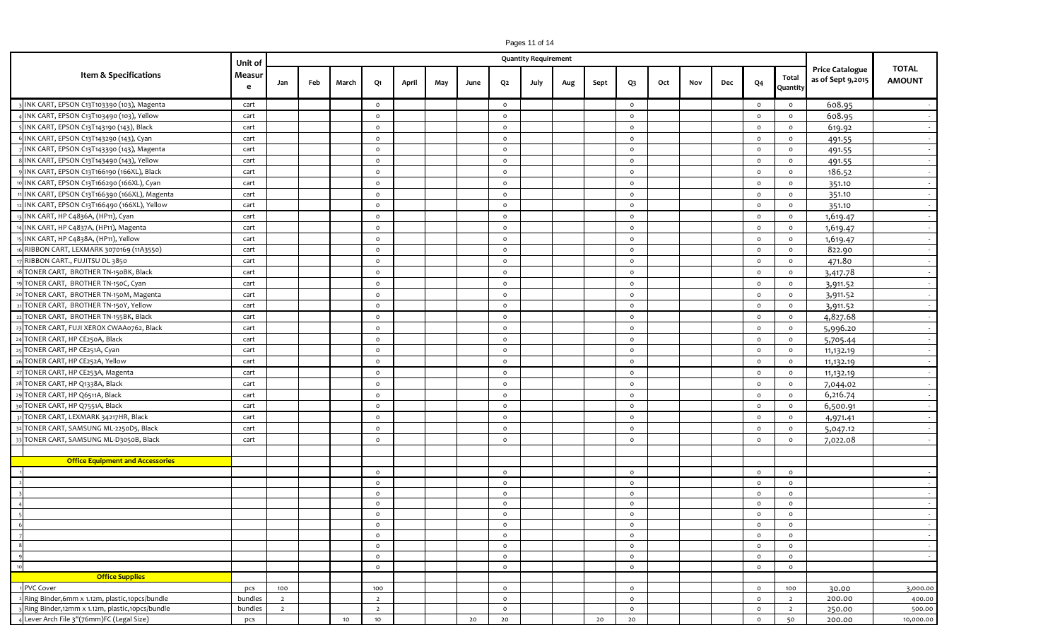|                                                 | Unit of     |                |     |       |                |       |     |      |              | <b>Quantity Requirement</b> |     |      |         |     |     |     |                |                   | <b>Price Catalogue</b><br>as of Sept 9,2015 | <b>TOTAL</b><br><b>AMOUNT</b> |
|-------------------------------------------------|-------------|----------------|-----|-------|----------------|-------|-----|------|--------------|-----------------------------|-----|------|---------|-----|-----|-----|----------------|-------------------|---------------------------------------------|-------------------------------|
| Item & Specifications                           | Measur<br>e | Jan            | Feb | March | Q1             | April | May | June | Q2           | July                        | Aug | Sept | $Q_3$   | Oct | Nov | Dec | Q <sub>4</sub> | Total<br>Quantity |                                             |                               |
| INK CART, EPSON C13T103390 (103), Magenta       | cart        |                |     |       | $\circ$        |       |     |      | $\circ$      |                             |     |      | $\circ$ |     |     |     | $\circ$        | $\circ$           | 608.95                                      |                               |
| INK CART, EPSON C13T103490 (103), Yellow        | cart        |                |     |       | $\circ$        |       |     |      | $\circ$      |                             |     |      | $\circ$ |     |     |     | $\circ$        | $\circ$           | 608.95                                      | $\sim 10^{-1}$                |
| INK CART, EPSON C13T143190 (143), Black         | cart        |                |     |       | $\circ$        |       |     |      | $\circ$      |                             |     |      | $\circ$ |     |     |     | $\circ$        | $\circ$           | 619.92                                      | $\sim$                        |
| INK CART, EPSON C13T143290 (143), Cyan          | cart        |                |     |       | $\circ$        |       |     |      | $\circ$      |                             |     |      | $\circ$ |     |     |     | $\circ$        | $\circ$           | 491.55                                      | $\sim$ $-$                    |
| INK CART, EPSON C13T143390 (143), Magenta       | cart        |                |     |       | $\circ$        |       |     |      | $\circ$      |                             |     |      | $\circ$ |     |     |     | $\circ$        | $\circ$           | 491.55                                      | $\sim$                        |
| INK CART, EPSON C13T143490 (143), Yellow        | cart        |                |     |       | $\circ$        |       |     |      | $\circ$      |                             |     |      | $\circ$ |     |     |     | $\circ$        | $\circ$           | 491.55                                      | $\sim$                        |
| INK CART, EPSON C13T166190 (166XL), Black       | cart        |                |     |       | $\circ$        |       |     |      | $\circ$      |                             |     |      | $\circ$ |     |     |     | $\circ$        | $\circ$           | 186.52                                      | $\sim$                        |
| INK CART, EPSON C13T166290 (166XL), Cyan        | cart        |                |     |       | $\circ$        |       |     |      | $\circ$      |                             |     |      | $\circ$ |     |     |     | $\circ$        | $\circ$           | 351.10                                      | $\sim$                        |
| INK CART, EPSON C13T166390 (166XL), Magenta     | cart        |                |     |       | $\circ$        |       |     |      | $\circ$      |                             |     |      | $\circ$ |     |     |     | $\circ$        | $\circ$           | 351.10                                      | $\sim$                        |
| INK CART, EPSON C13T166490 (166XL), Yellow      | cart        |                |     |       | $\circ$        |       |     |      | $\circ$      |                             |     |      | $\circ$ |     |     |     | $\circ$        | $\circ$           | 351.10                                      | $\sim$                        |
| INK CART, HP C4836A, (HP11), Cyan               | cart        |                |     |       | $\circ$        |       |     |      | $\circ$      |                             |     |      | $\circ$ |     |     |     | $\circ$        | $\circ$           | 1,619.47                                    | $\sim$                        |
| INK CART, HP C4837A, (HP11), Magenta            | cart        |                |     |       | $\circ$        |       |     |      | $\circ$      |                             |     |      | $\circ$ |     |     |     | $\circ$        | $\circ$           | 1,619.47                                    | $\sim$                        |
| INK CART, HP C4838A, (HP11), Yellow             | cart        |                |     |       | $\circ$        |       |     |      | $\circ$      |                             |     |      | $\circ$ |     |     |     | $\circ$        | $\circ$           | 1,619.47                                    | $\sim$                        |
| RIBBON CART, LEXMARK 3070169 (11A3550)          | cart        |                |     |       | $\circ$        |       |     |      | $\circ$      |                             |     |      | $\circ$ |     |     |     | $\circ$        | $\circ$           | 822.90                                      |                               |
| RIBBON CART., FUJITSU DL 3850                   | cart        |                |     |       | $\circ$        |       |     |      | $\circ$      |                             |     |      | $\circ$ |     |     |     | $\circ$        | $\circ$           | 471.80                                      | $\sim$ $-$                    |
| TONER CART, BROTHER TN-150BK, Black             | cart        |                |     |       | $\circ$        |       |     |      | $\circ$      |                             |     |      | $\circ$ |     |     |     | $\circ$        | $\circ$           | 3,417.78                                    | $\sim$ $-$                    |
| TONER CART, BROTHER TN-150C, Cyan               | cart        |                |     |       | $\circ$        |       |     |      | $\circ$      |                             |     |      | $\circ$ |     |     |     | $\circ$        | $\circ$           | 3,911.52                                    | $\sim$ $-$                    |
| TONER CART, BROTHER TN-150M, Magenta            | cart        |                |     |       | $\circ$        |       |     |      | $\circ$      |                             |     |      | $\circ$ |     |     |     | $\circ$        | $\circ$           | 3,911.52                                    |                               |
| TONER CART, BROTHER TN-150Y, Yellow             | cart        |                |     |       | $\circ$        |       |     |      | $\circ$      |                             |     |      | $\circ$ |     |     |     | $\circ$        | $\circ$           | 3,911.52                                    | $\sim$ $-$                    |
| TONER CART, BROTHER TN-155BK, Black             | cart        |                |     |       | $\circ$        |       |     |      | $\circ$      |                             |     |      | $\circ$ |     |     |     | $\circ$        | $\circ$           | 4,827.68                                    | $\sim$                        |
| TONER CART, FUJI XEROX CWAA0762, Black          | cart        |                |     |       | $\circ$        |       |     |      | $\circ$      |                             |     |      | $\circ$ |     |     |     | $\circ$        | $\circ$           | 5,996.20                                    | $\sim$                        |
| TONER CART, HP CE250A, Black                    | cart        |                |     |       | $\circ$        |       |     |      | $\circ$      |                             |     |      | $\circ$ |     |     |     | $\circ$        | $\circ$           | 5,705.44                                    | $\sim$                        |
| TONER CART, HP CE251A, Cyan                     | cart        |                |     |       | $\circ$        |       |     |      | $\circ$      |                             |     |      | $\circ$ |     |     |     | $\circ$        | $\circ$           | 11,132.19                                   | $\sim$                        |
| TONER CART, HP CE252A, Yellow                   | cart        |                |     |       | $\circ$        |       |     |      | $\circ$      |                             |     |      | $\circ$ |     |     |     | $\circ$        | $\circ$           | 11,132.19                                   | $\sim$                        |
| TONER CART, HP CE253A, Magenta                  | cart        |                |     |       | $\circ$        |       |     |      | $\circ$      |                             |     |      | $\circ$ |     |     |     | $\circ$        | $\circ$           | 11,132.19                                   | $\sim$ $-$                    |
| TONER CART, HP Q1338A, Black                    | cart        |                |     |       | $\circ$        |       |     |      | $\circ$      |                             |     |      | $\circ$ |     |     |     | $\circ$        | $\circ$           | 7,044.02                                    | $\sim$                        |
| TONER CART, HP Q6511A, Black                    | cart        |                |     |       | $\circ$        |       |     |      | $\circ$      |                             |     |      | $\circ$ |     |     |     | $\circ$        | $\circ$           | 6,216.74                                    | $\sim$                        |
| TONER CART, HP Q7551A, Black                    | cart        |                |     |       | $\circ$        |       |     |      | $\circ$      |                             |     |      | $\circ$ |     |     |     | $\circ$        | $\circ$           | 6,500.91                                    | $\sim$                        |
| TONER CART, LEXMARK 34217HR, Black              | cart        |                |     |       | $\circ$        |       |     |      | $\circ$      |                             |     |      | $\circ$ |     |     |     | $\circ$        | $\circ$           | 4,971.41                                    | $\sim$                        |
| TONER CART, SAMSUNG ML-2250D5, Black            | cart        |                |     |       | $\circ$        |       |     |      | $\circ$      |                             |     |      | $\circ$ |     |     |     | $\circ$        | $\circ$           | 5,047.12                                    | $\sim$ $-$                    |
| TONER CART, SAMSUNG ML-D3050B, Black            | cart        |                |     |       | $\mathsf{o}\,$ |       |     |      | $\circ$      |                             |     |      | $\circ$ |     |     |     | $\circ$        | $\circ$           | 7,022.08                                    | $\sim$                        |
|                                                 |             |                |     |       |                |       |     |      |              |                             |     |      |         |     |     |     |                |                   |                                             |                               |
| <b>Office Equipment and Accessories</b>         |             |                |     |       |                |       |     |      |              |                             |     |      |         |     |     |     |                |                   |                                             |                               |
|                                                 |             |                |     |       | $\circ$        |       |     |      | $\circ$      |                             |     |      | $\circ$ |     |     |     | $\circ$        | $\circ$           |                                             | $\sim$                        |
|                                                 |             |                |     |       | $\circ$        |       |     |      | $\circ$      |                             |     |      | $\circ$ |     |     |     | $\circ$        | $\circ$           |                                             |                               |
|                                                 |             |                |     |       | $\circ$        |       |     |      | $\circ$      |                             |     |      | $\circ$ |     |     |     | $\circ$        | $\circ$           |                                             | $\sim$                        |
|                                                 |             |                |     |       | $\circ$        |       |     |      | $\circ$      |                             |     |      | $\circ$ |     |     |     | $\circ$        | $\circ$           |                                             | $\sim$                        |
|                                                 |             |                |     |       | $\circ$        |       |     |      | $\circ$      |                             |     |      | $\circ$ |     |     |     | $\circ$        | $\circ$           |                                             |                               |
|                                                 |             |                |     |       | $\circ$        |       |     |      | $\mathsf{o}$ |                             |     |      | $\circ$ |     |     |     | $\circ$        | $\circ$           |                                             | $\sim$                        |
|                                                 |             |                |     |       | $\circ$        |       |     |      | $\circ$      |                             |     |      | $\circ$ |     |     |     | $\circ$        | $\circ$           |                                             | $\sim$                        |
|                                                 |             |                |     |       | $\circ$        |       |     |      | $\circ$      |                             |     |      | $\circ$ |     |     |     | $\circ$        | $\circ$           |                                             | $\sim$                        |
|                                                 |             |                |     |       | $\circ$        |       |     |      | $\circ$      |                             |     |      | $\circ$ |     |     |     | $\circ$        | $\circ$           |                                             | $\sim$                        |
| 10                                              |             |                |     |       | $\circ$        |       |     |      | $\circ$      |                             |     |      | $\circ$ |     |     |     | $\circ$        | $\circ$           |                                             |                               |
| <b>Office Supplies</b>                          |             |                |     |       |                |       |     |      |              |                             |     |      |         |     |     |     |                |                   |                                             |                               |
| PVC Cover                                       | pcs         | 100            |     |       | 100            |       |     |      | $\circ$      |                             |     |      | $\circ$ |     |     |     | $\circ$        | 100               | 30.00                                       | 3,000.00                      |
| Ring Binder, 6mm x 1.12m, plastic, 10pcs/bundle | bundles     | $\overline{2}$ |     |       | $\overline{2}$ |       |     |      | $\circ$      |                             |     |      | $\circ$ |     |     |     | $\circ$        | $\overline{2}$    | 200.00                                      | 400.00                        |
| Ring Binder,12mm x 1.12m, plastic,10pcs/bundle  | bundles     | $\overline{2}$ |     |       | $\overline{2}$ |       |     |      | $\circ$      |                             |     |      | $\circ$ |     |     |     | $\circ$        | $\overline{2}$    | 250.00                                      | 500.00                        |

Lever Arch File 3"(76mm)FC (Legal Size) pcs 10 10 20 20 20 20 0 50 200.00 10,000.00

Pages 11 of 14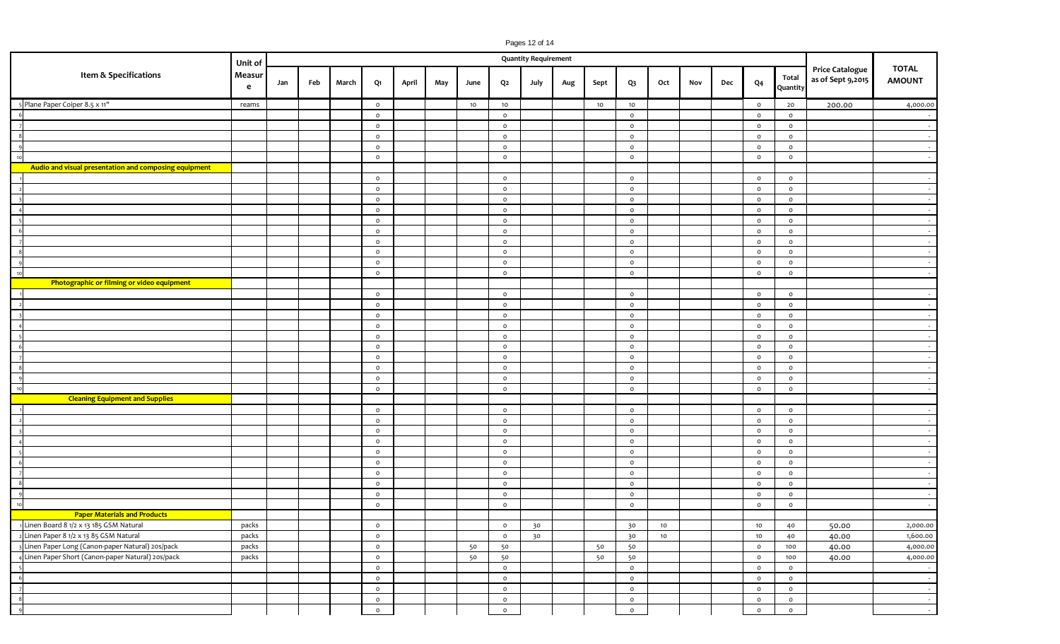|                       |                                                       |         |     |       |    |                    |     |      |                |                    | Pages 12 of 14              |      |    |                    |                 |     |                |                    |                                             |                               |                          |
|-----------------------|-------------------------------------------------------|---------|-----|-------|----|--------------------|-----|------|----------------|--------------------|-----------------------------|------|----|--------------------|-----------------|-----|----------------|--------------------|---------------------------------------------|-------------------------------|--------------------------|
|                       |                                                       | Unit of |     |       |    |                    |     |      |                |                    | <b>Quantity Requirement</b> |      |    |                    |                 |     |                |                    |                                             |                               |                          |
| Item & Specifications | Measur<br>e                                           | Jan     | Feb | March | Q1 | April              | May | June | Q <sub>2</sub> | July               | Aug                         | Sept | Q3 | Oct                | Nov             | Dec | Q <sub>4</sub> | Total<br>Quantity  | <b>Price Catalogue</b><br>as of Sept 9,2015 | <b>TOTAL</b><br><b>AMOUNT</b> |                          |
|                       | 5 Plane Paper Coiper 8.5 x 11"                        | reams   |     |       |    | $\circ$            |     |      | 10             | 10                 |                             |      | 10 | 10                 |                 |     |                | $\circ$            | 20                                          | 200.00                        | 4,000.00                 |
|                       |                                                       |         |     |       |    | $\circ$            |     |      |                | $\circ$            |                             |      |    | $\circ$            |                 |     |                | $\circ$            | $\circ$                                     |                               | $\sim$                   |
|                       | $\overline{z}$                                        |         |     |       |    | $\circ$            |     |      |                | $\circ$            |                             |      |    | $\circ$            |                 |     |                | $\circ$            | $\circ$                                     |                               | $\sim$                   |
|                       | $\overline{\phantom{0}}$                              |         |     |       |    | $\circ$            |     |      |                | $\circ$            |                             |      |    | $\circ$            |                 |     |                | $\circ$            | $\circ$                                     |                               | $\sim$                   |
|                       | $\overline{9}$                                        |         |     |       |    | $\circ$            |     |      |                | $\circ$            |                             |      |    | $\circ$            |                 |     |                | $\circ$            | $\circ$                                     |                               | $\sim$                   |
|                       | 10                                                    |         |     |       |    | $\circ$            |     |      |                | $\circ$            |                             |      |    | $\circ$            |                 |     |                | $\circ$            | $\circ$                                     |                               | $\sim$                   |
|                       | Audio and visual presentation and composing equipment |         |     |       |    |                    |     |      |                |                    |                             |      |    |                    |                 |     |                |                    |                                             |                               |                          |
|                       |                                                       |         |     |       |    | $\circ$            |     |      |                | $\circ$            |                             |      |    | $\circ$            |                 |     |                | $\circ$            | $\circ$                                     |                               | $\sim$                   |
|                       | $\overline{\phantom{a}}$                              |         |     |       |    | $\circ$            |     |      |                | $\circ$            |                             |      |    | $\circ$            |                 |     |                | $\circ$            | $\mathsf{o}\,$                              |                               | $\sim$                   |
|                       |                                                       |         |     |       |    | $\circ$            |     |      |                | $\circ$            |                             |      |    | $\circ$            |                 |     |                | $\circ$            | $\circ$                                     |                               | $\sim$                   |
|                       |                                                       |         |     |       |    | $\circ$            |     |      |                | $\circ$            |                             |      |    | $\circ$            |                 |     |                | $\circ$            | $\circ$                                     |                               | $\sim$                   |
|                       | $\overline{\phantom{a}}$                              |         |     |       |    | $\circ$            |     |      |                | $\circ$            |                             |      |    | $\circ$            |                 |     |                | $\circ$            | $\circ$                                     |                               | $\sim$                   |
|                       | $\epsilon$                                            |         |     |       |    | $\circ$            |     |      |                | $\circ$            |                             |      |    | $\circ$            |                 |     |                | $\circ$            | $\circ$                                     |                               | $\sim$                   |
|                       |                                                       |         |     |       |    | $\circ$            |     |      |                | $\circ$            |                             |      |    | $\circ$            |                 |     |                | $\circ$            | $\circ$                                     |                               | $\sim$ $-$               |
|                       | $_{\rm 8}$                                            |         |     |       |    | $\circ$            |     |      |                | $\circ$            |                             |      |    | $\circ$            |                 |     |                | $\circ$            | $\mathsf{o}\,$                              |                               | $\sim$                   |
|                       | $\overline{q}$                                        |         |     |       |    | $\circ$            |     |      |                | $\circ$            |                             |      |    | $\circ$            |                 |     |                | $\circ$            | $\circ$                                     |                               | $\sim$                   |
|                       | 10<br>Photographic or filming or video equipment      |         |     |       |    | $\circ$            |     |      |                | $\circ$            |                             |      |    | $\circ$            |                 |     |                | $\circ$            | $\circ$                                     |                               | $\sim$                   |
|                       |                                                       |         |     |       |    |                    |     |      |                |                    |                             |      |    |                    |                 |     |                |                    |                                             |                               |                          |
|                       |                                                       |         |     |       |    | $\circ$<br>$\circ$ |     |      |                | $\circ$            |                             |      |    | $\circ$<br>$\circ$ |                 |     |                | $\circ$            | $\circ$                                     |                               | $\sim$                   |
|                       | $\overline{\mathbf{z}}$                               |         |     |       |    | $\circ$            |     |      |                | $\circ$<br>$\circ$ |                             |      |    | $\circ$            |                 |     |                | $\circ$<br>$\circ$ | $\circ$<br>$\mathsf{o}\,$                   |                               | $\sim$ $-$<br>$\sim$     |
|                       |                                                       |         |     |       |    | $\circ$            |     |      |                | $\circ$            |                             |      |    | $\circ$            |                 |     |                | $\circ$            | $\circ$                                     |                               | $\sim$                   |
|                       | Г,                                                    |         |     |       |    | $\circ$            |     |      |                | $\circ$            |                             |      |    | $\circ$            |                 |     |                | $\circ$            | $\circ$                                     |                               | $\sim$ $-$               |
|                       | - 6                                                   |         |     |       |    | $\circ$            |     |      |                | $\circ$            |                             |      |    | $\circ$            |                 |     |                | $\circ$            | $\circ$                                     |                               | $\sim$                   |
|                       |                                                       |         |     |       |    | $\circ$            |     |      |                | $\circ$            |                             |      |    | $\circ$            |                 |     |                | $\circ$            | $\circ$                                     |                               | $\sim$                   |
|                       | -8                                                    |         |     |       |    | $\circ$            |     |      |                | $\circ$            |                             |      |    | $\circ$            |                 |     |                | $\circ$            | $\circ$                                     |                               | $\sim$ $-$               |
|                       | $\alpha$                                              |         |     |       |    | $\circ$            |     |      |                | $\circ$            |                             |      |    | $\circ$            |                 |     |                | $\circ$            | $\mathsf{o}\,$                              |                               | $\sim$                   |
|                       | 10                                                    |         |     |       |    | $\circ$            |     |      |                | $\circ$            |                             |      |    | $\circ$            |                 |     |                | $\circ$            | $\circ$                                     |                               | $\sim$                   |
|                       | <b>Cleaning Equipment and Supplies</b>                |         |     |       |    |                    |     |      |                |                    |                             |      |    |                    |                 |     |                |                    |                                             |                               |                          |
|                       |                                                       |         |     |       |    | $\circ$            |     |      |                | $\circ$            |                             |      |    | $\circ$            |                 |     |                | $\circ$            | $\circ$                                     |                               | $\sim$                   |
|                       |                                                       |         |     |       |    | $\circ$            |     |      |                | $\circ$            |                             |      |    | $\circ$            |                 |     |                | $\circ$            | $\circ$                                     |                               | $\sim$                   |
|                       |                                                       |         |     |       |    | $\circ$            |     |      |                | $\circ$            |                             |      |    | $\circ$            |                 |     |                | $\circ$            | $\circ$                                     |                               | $\sim$ $-$               |
|                       | $\overline{a}$                                        |         |     |       |    | $\circ$            |     |      |                | $\circ$            |                             |      |    | $\circ$            |                 |     |                | $\circ$            | $\mathsf{o}\,$                              |                               | $\sim$                   |
|                       | $\overline{\phantom{a}}$                              |         |     |       |    | $\circ$            |     |      |                | $\circ$            |                             |      |    | $\circ$            |                 |     |                | $\circ$            | $\circ$                                     |                               | $\sim$                   |
|                       | $\epsilon$                                            |         |     |       |    | $\circ$            |     |      |                | $\circ$            |                             |      |    | $\circ$            |                 |     |                | $\circ$            | $\circ$                                     |                               | $\sim$                   |
|                       | - 7                                                   |         |     |       |    | $\circ$            |     |      |                | $\circ$            |                             |      |    | $\circ$            |                 |     |                | $\circ$            | $\mathsf{o}\,$                              |                               | $\sim$                   |
|                       | 8                                                     |         |     |       |    | $\circ$            |     |      |                | $\circ$            |                             |      |    | $\circ$            |                 |     |                | $\circ$            | $\circ$                                     |                               | $\sim$                   |
|                       | $\mathbf{c}$                                          |         |     |       |    | $\circ$            |     |      |                | $\circ$            |                             |      |    | $\circ$            |                 |     |                | $\circ$            | $\circ$                                     |                               | $\sim$                   |
|                       | 10                                                    |         |     |       |    | $\circ$            |     |      |                | $\circ$            |                             |      |    | $\circ$            |                 |     |                | $\circ$            | $\circ$                                     |                               | $\sim$                   |
|                       | <b>Paper Materials and Products</b>                   |         |     |       |    |                    |     |      |                |                    |                             |      |    |                    |                 |     |                |                    |                                             |                               |                          |
|                       | <sup>1</sup> Linen Board 8 1/2 x 13 185 GSM Natural   | packs   |     |       |    | $\circ$            |     |      |                | $\circ$            | 30                          |      |    | 30                 | 10 <sup>°</sup> |     |                | 10                 | 40                                          | 50.00                         | 2,000.00                 |
|                       | 2 Linen Paper 8 1/2 x 13 85 GSM Natural               | packs   |     |       |    | $\circ$            |     |      |                | $\circ$            | 30                          |      |    | 30                 | 10 <sub>1</sub> |     |                | 10                 | 40                                          | 40.00                         | 1,600.00                 |
|                       | 3 Linen Paper Long (Canon-paper Natural) 20s/pack     | packs   |     |       |    | $\mathsf{o}$       |     |      | 50             | 50                 |                             |      | 50 | 50                 |                 |     |                | $\circ$            | 100                                         | 40.00                         | 4,000.00                 |
|                       | 4 Linen Paper Short (Canon-paper Natural) 20s/pack    | packs   |     |       |    | $\circ$            |     |      | 50             | 50                 |                             |      | 50 | 50                 |                 |     |                | $\circ$            | 100                                         | 40.00                         | 4,000.00                 |
|                       | $\overline{\phantom{0}}$                              |         |     |       |    | $\circ$            |     |      |                | $\circ$            |                             |      |    | $\circ$            |                 |     |                | $\circ$            | $\circ$                                     |                               | $\sim$                   |
|                       | $6\overline{6}$                                       |         |     |       |    | $\circ$            |     |      |                | $\circ$            |                             |      |    | $\circ$            |                 |     |                | $\circ$            | $\circ$                                     |                               | $\sim$                   |
|                       | $\overline{7}$<br>$\overline{\phantom{a}}$            |         |     |       |    | $\circ$            |     |      |                | $\circ$            |                             |      |    | $\circ$            |                 |     |                | $\circ$            | $\circ$                                     |                               | $\sim 10^{-11}$          |
|                       | $\overline{9}$                                        |         |     |       |    | $\circ$            |     |      |                | $\circ$            |                             |      |    | $\circ$            |                 |     |                | $\circ$            | $\circ$                                     |                               | $\sim$<br>$\sim 10^{-1}$ |
|                       |                                                       |         |     |       |    | $\circ$            |     |      |                | $\circ$            |                             |      |    | $\circ$            |                 |     |                | $\circ$            | $\circ$                                     |                               |                          |